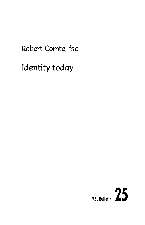# Robert Comte, fsc

Identity today

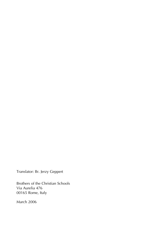Translator: Br. Jerzy Geppert

Brothers of the Christian Schools Via Aurelia 476 00165 Rome, Italy

March 2006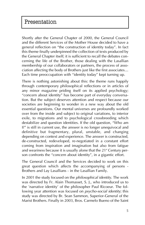Shortly after the General Chapter of 2000, the General Council and the different Services of the Mother House decided to have a general reflection on "the construction of identity today". In fact this theme finally underpinned the collection of texts produced by the General Chapter itself; it is sufficient to recall the debates concerning the life of the Brother, those dealing with the Lasallian membership of our collaborators or partners, the process of association affecting the body of Brothers just like the first associates... Each time preoccupation with "identity today" kept turning up.

There is nothing astonishing about this: the theme runs happily through contemporary philosophical reflections or in articles of any minor magazine priding itself on its applied psychology; ìconcern about identityî has become part of everyday conversation. But the subject deserves attention and respect because our societies are beginning to wonder in a new way about the old essential questions. Our mental universes are profoundly worked over from the inside and subject to original variations, to interior exile, to migrations and to psychological crossbreeding which destabilize and question identities. If the old question, "Who am  $I$ ?" is still in current use, the answer is no longer unequivocal and definitive but fragmentary, plural, unstable, and changing depending on context and experience. The answer is constructed, de-constructed, redeveloped, re-negotiated in a constant effort coming from inspiration and imagination but also from fatigue and weariness because it is usually alone that the  $21<sup>s</sup>$  Century person confronts the "concern about identity", in a gigantic effort.

The General Council and the Services decided to work on this great question which affects the accompanying of persons - Brothers and Lay Lasallians - in the Lasallian Family.

In 2001 the study focused on the *philosophical identity*. The work was directed by Fr. Alain Thomasset, S. J., who introduced us to the 'narrative identity' of the philosopher Paul Ricoeur. The following year attention was focused on *psycho-social identity*; this study was directed by Br. Sean Sammon, Superior-General of the Marist Brothers. Finally in 2003, Bros. Carmelo Bueno of the Saint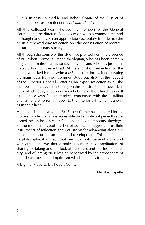Pius X Institute in Madrid and Robert Comte of the District of France helped us to reflect on *Christian identity*.

All this collected work allowed the members of the General Council and the different Services to draw up a common method of thought and to coin an appropriate vocabulary in order to take on in a renewed way reflection on "the construction of identity" in our contemporary society.

All through the course of this study we profited from the presence of Br. Robert Comte, a French theologian, who has been particularly expert in these areas for several years and who has just completed a book on this subject. At the end of our reflection on the theme we asked him to write a MEL booklet for us, incorporating the main ideas from our common study but also - at the request of the Superior General - offering an expert reflection to all the members of the Lasallian Family on this construction of new identities which today affects our society but also the Church, as well as all those who feel themselves concerned with the Lasallian charism and who remain open to the interior call which it arouses in their lives.

Here then is the text which Br. Robert Comte has prepared for us. It offers us a text which is accessible and simple but perfectly supported by philosophical reflection and contemporary theology. Furthermore, as a good teacher of adults, he suggests to us little instruments of reflection and evaluation for advancing along our personal path of construction and development. This text is a little philosophical and spiritual gem: it should be read alone and with others and we should make it a moment of meditation, of sharing, of taking another look at ourselves and our life community; and of letting ourselves be penetrated by the atmosphere of confidence, peace and optimism which emerges from it.

A big thank you to Br. Robert Comte.

Br. Nicolas Capelle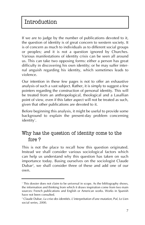If we are to judge by the number of publications devoted to it, the question of identity is of great concern to western society. It is of concern as much to individuals as to different social groups or peoples; and it is not a question ignored by Churches. Various manifestations of identity crisis can be seen all around us. This can take two opposing forms: either a person has great difficulty in discovering his own identity; or he may suffer internal anguish regarding his identity, which sometimes leads to violence.

Our intention in these few pages is not to offer an exhaustive analysis of such a vast subject. Rather, it is simply to suggest a few pointers regarding the construction of personal identity. This will be treated from an anthropological, theological and a Lasallian point of view, even if this latter aspect will not be treated as such, given that other publications are devoted to it.

Before beginning this analysis, it might be useful to provide some background to explain the present-day problem concerning identity'.

# Why has the question of identity come to the fore ?

This is not the place to recall how this question originated. Instead we shall consider various sociological factors which can help us understand why this question has taken on such importance today. Basing ourselves on the sociologist Claude Dubar<sup>2</sup>, we shall consider three of these and add one of our own.

<sup>&</sup>lt;sup>1</sup> This dossier does not claim to be universal in scope. As the bibliography shows, the information and thinking from which it draws inspiration come from two main sources: French publications and English or American works. Works in Spanish have not been consulted.

<sup>&</sup>lt;sup>2</sup> Claude Dubar, *La crise des identités. L'interprétation d'une mutation*, Puf, Le Lien social series, 2000.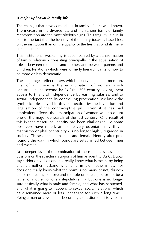#### *A major upheaval in family life.*

The changes that have come about in family life are well known. The increase in the divorce rate and the various forms of family recomposition are the most obvious signs. This fragility is due in part to the fact that the identity of the family today is based less on the institution than on the quality of the ties that bind its members together.

This institutional weakening is accompanied by a transformation of family relations - consisting principally in the equalisation of roles - between the father and mother, and between parents and children. Relations which were formerly hierarchical tend now to be more or less democratic.

These changes reflect others which deserve a special mention. First of all, there is the emancipation of women which occurred in the second half of the  $20<sup>th</sup>$  century, giving them access to financial independence by earning salaries, and to sexual independence by controlling procreation (we know the symbolic role played in this connection by the invention and legalisation of the contraceptive pill). Even if it has had ambivalent effects, the emancipation of women was no doubt one of the major upheavals of the last century. One result of this is that masculine identity has been challenged. As some observers have noted, an excessively ostentatious virility machismo or phallocentricity - is no longer highly regarded in society. These changes in male and female identity alter profoundly the way in which bonds are established between men and women.

At a deeper level, the combination of these changes has repercussions on the structural supports of human identity. As C. Dubar says: "Not only does one not really know what is meant by being a father, mother, husband, wife, father-in-law, mother-in-law; nor does one really know what the norm is (to marry or not, dissociate or not feelings of love and the role of parents, be or not be a father or mother for one's stepchildren...), but one is no longer sure basically what is male and female, and what has happened, and what is going to happen, to sexual social relations, which have remained more or less unchanged for such a long time... Being a man or a woman is becoming a question of history, plan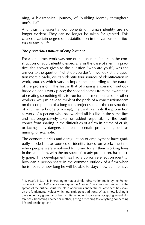ning, a biographical journey, of 'building identity throughout one's life'″<sup>3</sup>.

And thus the essential components of human identity are no longer evident. They can no longer be taken for granted. This causes a certain degree of destabilisation in the various contributors to family life.

#### *The precarious nature of employment.*

For a long time, work was one of the essential factors in the construction of adult identity, especially in the case of men. In practice, the answer given to the question "who are you?", was the answer to the question "what do you do?". If we look at the question more closely, we can identify four sources of identification in work, sources which vary in importance according to the nature of the profession. The first is that of sharing a common outlook based on one's work place; the second comes from the awareness of creating something (this is true for craftsmen, but also for other workers: we just have to think of the pride of a construction-team on the completion of a long-term project such as the construction of a tunnel, a bridge or a ship); the third is simply the promotion at work of a person who has worked all his life in the same firm and has progressively taken on added responsibility; the fourth comes from sharing in the difficulties of a firm in a time of crisis, or facing daily dangers inherent in certain professions, such as mining, or example.

The economic crisis and deregulation of employment have gradually eroded these sources of identity based on work: the time when people were employed full time, for all their working lives in the same firm, with the prospect of steady promotion, has mostly gone. This development has had a corrosive effect on identity: how can a person share in the common outlook of a firm when he is not sure how long he will be able to stay?; how can he have

<sup>&</sup>lt;sup>3</sup> Id, *op.cit.* P.93. It is interesting to note a similar observation made by the French bishops in their *Lettre aux catholiques de France*: "the combined impact of the spread of the critical spirit, the clash of cultures and technical advances has shaken the fundamental values which transmit great traditions. What is now lacking is the elementary grammar of human life, whether it concerns accepting sexual differences, becoming a father or mother, giving a meaning to everything concerning life and death" (p. 24).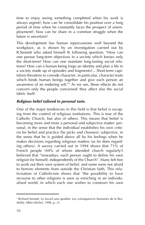time to enjoy seeing something completed when his work is always urgent?; how can he consolidate his position over a long period of time when he constantly faces the prospect of unemployment?; how can he share in a common struggle when the future is uncertain?

This development has human repercussions well beyond the workplace, as is shown by an investigation carried out by R.Sennett who asked himself th following question: "How can one pursue long-term objectives in a society which knows only the short-term? How can one maintain long-lasting social relations? How can a human being forge an identity and plan a life in a society made up of episodes and fragments?... Short-term capitalism threatens to corrode character, in particular, character traits which binds human beings together and give each person an awareness of an enduring self. $14$  As we see, these effects do not concern only the people concerned: they affect also the social fabric itself.

#### *Religious belief tailored to personal taste.*

One of the major tendencies in this field is that belief is escaping from the control of religious institutions. This is true of the Catholic Church, but also of others. This means that belief is becoming more and more a personal and subjective matter: personal, in the sense that the individual establishes his own criteria for belief and practice (he picks and chooses); subjective, in the sense that he is guided above all by his feelings when he makes decisions regarding religious matters (as he does regarding others). A survey carried out in 1994 shows that 71% of French people (44% of whom attended church regularly!) believed that "nowadays, each person ought to define his own religion for himself, independently of the Church". Many felt free to work out their own system of belief, and some were not afraid to borrow elements from outside the Christian faith. This relativisation of Catholicism shows that "the possibility to have recourse to other religions is seen as enriching in an individualised world, in which each one wishes to construct his own

<sup>&</sup>lt;sup>4</sup> Richard Sennett, Le travail sans qualités. Les conséquences humaines de la flex*ibilitÈ*, Albin Michel, 1998, p. 31.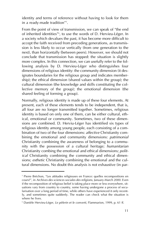identity and terms of reference without having to look for them in a ready-made tradition"<sup>5</sup>.

From the point of view of transmission, we can speak of "the end of inherited identities"<sup>s</sup>, to use the words of D. Hervieu-Léger. In a society which devalues the past, it has become more difficult to accept the faith received from preceding generations, as transmission is less likely to occur vertically (from one generation to the next), than horizontally (between peers). However, we should not conclude that transmission has stopped: the situation is slightly more complex. In this connection, we can usefully refer to the following analysis by D. Hervieu-Léger who distinguishes four dimensions of religious identity: the community dimension (it designates boundaries for the religious group and indicates membership); the ethical dimension (shared values within the group); the cultural dimension (the knowledge and skills constituting the collective memory of the group); the emotional dimension (the shared feeling of forming a group).

Normally, religious identity is made up of these four elements. At present, each of these elements tends to be independent, that is, all four are no longer transmitted together. Sometimes, religious identity is based on only one of them, can be either cultural, ethical, emotional or community. Sometimes, two of these dimensions are combined. D. Herviu-Léger has identified six types of religious identity among young people, each consisting of a combination of two of the four dimensions: *affective* Christianity combining the emotional and community dimensions: *patrimonial* Christianity combining the awareness of belonging to a community with the possession of a cultural heritage; *humanitarian* Christianity combing the emotional and ethical dimensions; *political* Christianity combining the community and ethical dimensions; *esthetic* Christianity combining the emotional and the cultural dimensions. No doubt this analysis is not exhaustive (in par-

<sup>&</sup>lt;sup>5</sup> Pierre Bréchon, "Les attitudes religieuses en France: quelles recompositions en cours?î, in *Archives des sciences sociales des religions*, January-March 2000. Even if the recomposition of religious belief is taking place more or less everywhere, situations vary from country to country, some having undergone a process of secularisation over a long period of time, while others have experienced it only recently, and sometimes quite suddenly. The reader can check what the situation is where he lives.

<sup>&</sup>lt;sup>6</sup> Danièle Hervieu-Léger, *Le pèlerin et le converti*, Flammarion, 1999, p. 61 ff.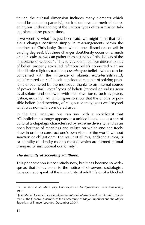ticular, the cultural dimension includes many elements which could be treated separately), but it does have the merit of sharpening our understanding of the various types of transmission taking place at the present time.

If we went by what has just been said, we might think that religious changes consisted simply in re-arrangements within the confines of Christianity (from which one dissociates onself in varying degrees). But these changes doubtlessly occur on a much greater scale, as we can gather from a survey of "the beliefs of the inhabitants of Quebec"<sup>7</sup>. This survey identified four different kinds of belief: properly so-called *religious* beliefs connected with an identifiable religious tradition; *cosmic*-type beliefs (which can be concerned with the influence of planets, extra-terrestrials...); belief centred on *self* (a self considered capable of solving problems encountered by the individual thanks to an internal source of power he has); *social* types of beliefs (centred on values seen as absolutes and endowed with their own force, such as peace, justice, equality). All which goes to show that the choice of possible beliefs (and therefore, of religious identity) goes well beyond what was normally considered usual.

In the final analysis, we can say with a sociologist that ìCatholicism no longer appears as a unified block, but as a sort of cultural archipelago characterised by extreme diversity, and as an open heritage of meanings and values on which one can freely draw in order to construct one's own vision of the world, without sanction or obligation"<sup>s</sup>. The result of all this, adds the author, is "a plurality of identity models most of which are formed in total disregard of institutional conformity".

#### *The difficulty of accepting adulthood.*

This phenomenon is not entirely new, but it has become so widespread that it has come to the notice of observers: sociologists have come to speak of the immaturity of adult life or of a blocked

<sup>&</sup>lt;sup>7</sup> R. Lemieux & M. Milot (dir), *Les croyances des Québécois*, Laval University, 1992.

<sup>8</sup> Jean Marie Donegani, *La vie religieuse entre sÈcularisation et inculturation*, paper read at the General Assembly of the Conference of Major Superiors and the Major Superiors of France (Lourdes, December 2004).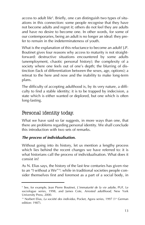access to adult life°. Briefly, one can distinguish two types of situations in this connection: some people recognise that they have not become adults and regret it; others do not feel they are adults and have no desire to become one. In other words, for some of our contemporaries, being an adult is no longer an ideal: they prefer to remain in the indeterminateness of youth.

What is the explanation of this reluctance to become an adult? J.P. Boutinet gives four reasons why access to maturity is not straightforward: destructive situations encountered by some adults (unemployment, chaotic personal history); the complexity of a society where one feels out of one's depth; the blurring of distinction (lack of differentiation between the sexes, age, options); a retreat to the here and now and the inability to make long-term plans.

The difficulty of accepting adulthood is, by its very nature, a difficulty to find a stable identity; it is to be trapped by indecision, a state which is either wanted or deplored, but one which is often long-lasting.

### Personal identity today.

What we have said so far suggests, in more ways than one, that there are problems regarding personal identity. We shall conclude this introduction with two sets of remarks.

#### *The process of individualisation.*

Without going into its history, let us mention a lengthy process which lies behind the recent changes we have referred to: it is what historians call the process of individualisation. What does it consist in?

As N. Elias says, the history of the last few centuries has given rise to an "I without a We"<sup>10</sup>: while in traditional societies people consider themselves first and foremost as a part of a social body, in

<sup>&</sup>lt;sup>9</sup> See, for example, Jean Pierre Boutinet, *L'immaturité de la vie adulte*, PUF, Le sociologue series, 1998, and James Cote, *Arrested adulthood*, New York University Press, 2000.

<sup>&</sup>lt;sup>10</sup> Norbert Elias, *La société des individus*, Pocket, Agora series, 1997 (1<sup>st</sup> German edition: 1987).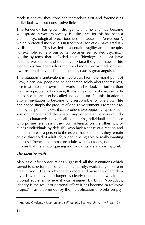modern society they consider themselves first and foremost as individuals without constitutive links.

This tendency has grown stronger with time and has become widespread in western society. But the price for this has been a greater psychological precariousness, because the "envelopes", which protected individuals in traditional societies, have gradually disappeared. This has led to a certain fragility among people. For example, some of our contemporaries feel isolated psychically: the systems that enfolded them (ideology, religion) have become weakened, and they have to face the great issues of life alone; they find themselves more and more thrown back on their own responsibility and sometimes this causes great anguish.

This situation is ambivalent in two ways. From the moral point of view, it can lead people to be concerned solely about themselves, to retreat into their own little world, and to look no further than their own problems. For some, this is a new form of narcissism. In this sense, it can also be called individualism. But this situation is also an invitation to become fully responsible for one's own life and not be simply the product of one's environment. From the psychological point of view, it can produce two opposing types of person: on the one hand, the person may become an "excessive individual", characterised by the all-conquering individualism of those who pursue relentlessly their own interests; on the other, it produces "individuals by default", who lack a sense of direction and fail to mature as a person to the extent that sometimes they remain on the threshold of adult life, without being able or really wanting to cross it (hence, the immature adults we meet today, not that this implies that the all-conquering individualists are always mature).

#### *The identity crisis.*

Also, as our first observations suggested, all the institutions which served to structure personal identity (family, work, religion) are in great turmoil. That is why there is more and more talk of an identity crisis. Identity is no longer as clearly defined as it was in traditional societies, where it was assigned by birth. Nowadays, identity is the result of personal effort: it has become "a reflexive project" $11$ , as is borne out by the multiplication of works on psy-

<sup>&</sup>lt;sup>11</sup> Anthony Giddens, *Modernity and self identity*, Stanford University Press, 1991.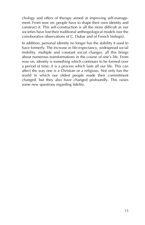chology and offers of therapy aimed at improving self-management. From now on, people have to shape their own identity and construct it. This self-construction is all the more difficult as our societies have lost their traditional anthropological models (see the corroborative observations of C. Dubar and of French bishops).

In addition, personal identity no longer has the stability it used to have formerly. The increase in life-expectancy, widespread social mobility, multiple and constant social changes, all this brings about numerous transformations in the course of one's life. From now on, identity is something which continues to be formed over a period of time; it is a process which lasts all our life. This can affect the way one is a Christian or a religious. Not only has the world in which our oldest people made their commitment changed, but they also have changed profoundly. This raises some new questions regarding fidelity.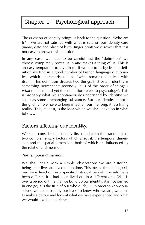# Chapter 1 - Psychological approach

The question of identity brings us back to the question: "Who am I?" If we are not satisfied with what is said on our identity card (name, date and place of birth, finger print) we discover that it is not easy to answer this question.

In any case, we need to be careful lest the "definition" we choose completely boxes us in and makes a thing of us. This is an easy temptation to give in to, if we are to judge by the definition we find in a good number of French language dictionaries, which characterises it as "*what* remains identical with itself". This definition stresses two things: first of all, identity is something permanent; secondly, it is of the order of things *what* remains (and yet this definition refers to psychology). This is probably what we spontaneously understand by identity: we see it as some unchanging substance. But our identity is not a thing which we have to keep intact all our life long: it is a living reality. This, at least, is the idea which we shall develop in what follows.

### Factors affecting our identity.

We shall consider our identity first of all from the standpoint of two complementary factors which affect it: the temporal dimension and the spatial dimension, both of which are influenced by the relational dimension.

#### *The temporal dimension.*

We shall begin with a simple observation: we are historical beings; our lives are lived out in time. This means three things: (1) our life is lived out in a specific historical period: it would have been different if it had been lived out in a different one; (2) it is over a period of time that we build up our identity: it is not formed in one go; it is the fruit of our whole life; (3) in order to know ourselves, we need to study our lives (to know who we are, we need to make a detour and look at what we have experienced and what we would like to experience).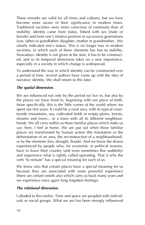These remarks are valid for all times and cultures, but we have become more aware of their significance in modern times. Traditional societies were more conscious of continuity than of mobility: identity came from status, linked with sex (male or female) and from one's relative position in successive generations (son, father or grandfather; daughter, mother or grandmother - this clearly indicated one's status). This is no longer true in modern societies, in which each of these elements has lost its stability. Nowadays, identity is not given at the start, it has to be constructed, and so its temporal dimension takes on a new importance, especially in a society in which change is widespread.

To understand the way in which identity can be constructed over a period of time, several authors have come up with the idea of narrative identity. We shall return to this later.

#### *The spatial dimension.*

We are influenced not only by the period we live in, but also by the places we have lived in, beginning with our place of birth. More specifically, this is the little corner of the world where we spent our first years. It could be a rural area, with its typical countryside (mountains, sea, cultivated fields or empty plains, forests, streams and rivers... or a town with all its different neighbourhoods. We all carry within us these familiar places which make us say: here, I feel at home. We are put out when these familiar places are transformed by human action (the forestation or the deforestation of an area, the reconstruction of a neighbourhood), or by the elements (fire, drought, floods). And we know the drama experienced by people who, for economic or political reasons, have to leave their country (and even sometimes flee suddenly) and experience what is rightly called uprooting. That is why the verb "to remain" has a special meaning for each of us.

We know also that certain places have a special meaning for us because they are associated with some powerful experience (there are certain smells also which carry us back many years and we experience once again long forgotten feelings).

#### *The relational dimension.*

I alluded to this earlier. Time and space are peopled with individuals or social groups. What we are has been strongly influenced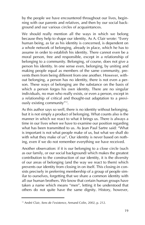by the people we have encountered throughout our lives, beginning with our parents and relatives, and then by our social background and our various circles of acquaintances.

We should really mention all the ways in which we belong because they help to shape our identity. As A. Clair wrote: "Every human being, as far as his identity is concerned, is dependent on a whole network of belonging, already in place, which he has to assume in order to establish his identity. There cannot even be a moral person, free and responsible, except in a relationship of belonging to a community. Belonging, of course, does not give a person his identity. In one sense even, belonging, by uniting and making people equal as members of the same community, prevents them from being different from one another. However, without belonging, a person has no identity, there is not even a person. These ways of belonging are the substance on the basis of which a person forges his own identity. There are no singular individuals, no man who really exists, or even a person, except in a relationship of critical and thought-out adaptation to a previously existing community"<sup>12</sup>.

As this author says so well, there is no identity without belonging, but it is not simply a product of belonging. What counts also is the manner in which we react to what it brings us. There is always a time in our lives when we have to examine our position regarding what has been transmitted to us. As Jean Paul Sartre said: "What is important is not what people make of us, but what we shall do with what they make of us". Our identity is never based on nothing, even if we do not remember everything we have received.

Another observation: if it is our belonging to a close circle (such as our family, or our social background) which makes the greatest contribution to the construction of our identity, it is the diversity of our areas of belonging (and the way we react to them) which prevents our identity from closing in on itself. This closing-in consists precisely in preferring membership of a group of people similar to ourselves, forgetting that we share a common identity with all our human brothers. We know that certain human groups have taken a name which means "men", letting it be understood that others do not quite have the same dignity. History, however,

<sup>&</sup>lt;sup>12</sup> André Clair, *Sens de l'existence*, Armand Colin, 2002, p. 212.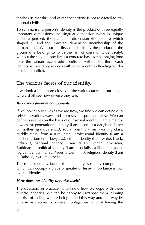teaches us that this kind of ethnocentricity is not restricted to traditional civilisations.

To summarise, a person's identity is the product of three equally important dimensions: the singular dimension (what is unique about a person); the particular dimension (the culture which shaped it); and the universal dimension (membership of the human race). Without the first, one is simply the product of the groups one belongs to (with the risk of community-centricity); without the second, one lacks a concrete basis for belonging (one joins the human race inside a culture); without the third, each identity is inevitably at odds with other identities (leading to ideological conflict).

### The various facets of our identity.

If we look a little more closely at the various facets of our identity, we shall see how diverse they are.

#### *Its various possible components.*

If we look at ourselves as we are now, we find we can define ourselves in various ways and from several points of view. We can define ourselves on the basis of our sexual identity (I am a man or a woman), generational identity (I am a son or a daughter, father or mother, grandparent...), social identity (I am working class, middle class, from a rural area), professional identity (I am a teacher, a farmer, a lawyer...), ethnic identity (I am white, black, Indian...), national identity (I am Italian, French, American, Burkinan...), political identity (I am a socialist, a liberal...), astrological identity (I am a Pisces, a Gemini...), religious identity (I am a Catholic, Muslim, atheist...).

These are so many facets of our identity, so many components which can occupy a place of greater or lesser importance in our overall identity.

#### *How does our identity organise itself?*

The question, in practice, is to know how we cope with these diverse identities. We can be happy to juxtapose them, running the risk of feeling we are being pulled this way and that way by diverse aspirations or different obligations, and of having the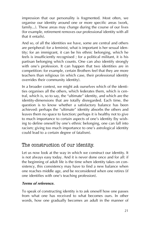impression that our personality is fragmented. Most often, we organise our identity around one or more specific areas (work, family...). These areas may change during the course of our lives (for example, retirement removes our professional identity with all that it entails).

And so, of all the identities we have, some are central and others are peripheral: for a feminist, what is important is her sexual identity; for an immigrant, it can be his ethnic belonging, which he feels is insufficiently recognised ; for a political militant, it is his partisan belonging which counts. One can also identify strongly with one's profession. It can happen that two identities are in competition: for example, certain Brothers feel that they are more teachers than religious (in which case, their professional identity overrides their community identity).

In a broader context, we might ask ourselves which of the identities organises all the others, which federates them, which is central, which is, so to say, the "ultimate" identity, and which are the identity-dimensions that are totally disregarded. Each time, the question is to know whether a satisfactory balance has been achieved: perhaps the "ultimate" identity absorbs the others and leaves them no space to function; perhaps it is healthy not to give to much importance to certain aspects of one's identity (by wishing to define oneself by one's ethnic belonging, one can fall into racism; giving too much importance to one's astrological identity could lead to a certain degree of fatalism).

### The construction of our identity.

Let us now look at the way in which we construct our identity. It is not always easy today. And it is never done once and for all: if the beginning of adult life is the time when identity takes on consistency, this consistency may have to find a new balance when one reaches middle age, and be reconsidered when one retires (if one identifies with one's teaching profession).

#### *Terms of reference.*

To speak of constructing identity is to ask oneself how one passes from what one has received to what becomes ours. In other words, how one gradually becomes an adult in the manner of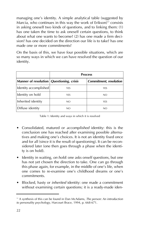managing one's identity. A simple analytical table (suggested by Marcia, who continues in this way the work of Erikson)<sup>13</sup> consists in asking oneself two kinds of questions, and to linking them: (1) has one taken the time to ask oneself certain questions, to think about what one wants to become? (2) has one made a firm decision? has one decided on the direction our life is to take? has one made one or more commitments?

On the basis of this, we have four possible situations, which are so many ways in which we can have resolved the question of our identity.

|                                                            | <b>Process</b> |                               |
|------------------------------------------------------------|----------------|-------------------------------|
| Manner of resolution $\sqrt{Q}$ <i>Questioning, crisis</i> |                | <b>Commitment, resolution</b> |
| Identity accomplished                                      | YES            | <b>YES</b>                    |
| Identity on hold                                           | <b>YFS</b>     | NO                            |
| Inherited identity                                         | NO             | <b>YFS</b>                    |
| Diffuse identity                                           | NO.            | NO                            |

Table 1: Identity and ways in which it is resolved

- ï Consolidated, matured or *accomplished* identity: this is the conclusion one has reached after examining possible alternatives and making one's choices. It is not an identity fixed once and for all (since it is the result of questioning). It can be reconsidered later (one then goes through a phase when the identity is on hold).
- Identity in waiting, *on hold*: one asks onself questions, but one has not yet chosen the direction to take. One can go through this phase again, for example, in the middle of one's life, when one comes to re-examine one's childhood dreams or one's commitments.
- ï Blocked, hasty or *inherited* identity: one made a commitment without examining certain questions; it is a ready-made iden-

<sup>13</sup> A synthesis of this can be found in Dan McAdams, *The person: An introduction to personality psychology*, Harcourt Brace, 1994, p. 668-671.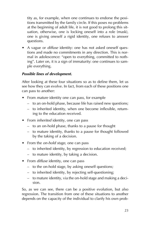tity as, for example, when one continues to endorse the positions transmitted by the family circle. If this poses no problems at the beginning of adult life, it is not good to prolong this situation, otherwise, one is locking oneself into a role (mask), one is giving oneself a rigid identity, one refuses to answer questions.

• A vague or *diffuse* identity: one has not asked oneself questions and made no commitments in any direction. This is normal in adolescence: "open to everything, committed to nothing". Later on, it is a sign of immaturity: one continues to sample everything.

#### *Possible lines of development.*

After looking at these four situations so as to define them, let us see how they can evolve. In fact, from each of these positions one can pass to another:

- From *mature* identity one can pass, for example
	- to an on-hold phase, because life has raised new questions;
	- to inherited identity, when one become inflexible, returning to the education received.
- From *inherited* identity, one can pass
	- $-$  to an on-hold phase, thanks to a pause for thought
	- to mature identity, thanks to a pause for thought followed by the taking of a decision.
- From the *on-hold stage*, one can pass
	- to inherited identity, by regression to education received;
	- $-$  to mature identity, by taking a decision.
- From *diffuse* identity, one can pass
	- $\overline{\phantom{a}}$  to the on-hold stage, by asking oneself questions;
	- to inherited identity, by rejecting self-questioning;
	- $-$  to mature identity, via the on-hold stage and making a decision.

So, as we can see, there can be a positive evolution, but also regression. The transition from one of these situations to another depends on the capacity of the individual to clarify his own prob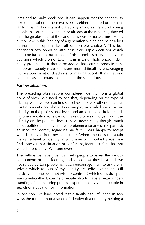lems and to make decisions. It can happen that the capacity to take one or other of these two steps is either impaired or momentarily missing. For example, a survey made in France of young people in search of a vocation or already at the novitiate, showed that the greatest fear of the candidates was to make a mistake. Its author saw in this "the cry of a generation which can be at a loss in front of a supermarket full of possible choices". This fear engenders two opposing attitudes: "very rapid decisions which fail to be based on true freedom (this resembles hasty identity), or decisions which are not taken" (this is an on-hold phase indefinitely prolonged). It should be added that certain trends in contemporary society make decisions more difficult by encouraging the postponement of deadlines, or making people think that one can take several courses of action at the same time.

#### *Various situations.*

The preceding observations considered identity from a global point of view. We need to add that, depending on the type of identity we have, we can find ourselves in one or other of the four positions mentioned above. For example, we could have a mature identity on the professional level, and an identity on-hold regarding one's vocation (one cannot make up one's mind yet); a diffuse identity on the political level (I have never really thought much about politics and I have no real preference for any of the parties); an inherited identity regarding my faith (I was happy to accept what I received from my education). When one does not attain the same level of identity in a number of important areas, one finds oneself in a situation of conflicting identities. One has not yet achieved unity. Will one ever?

The outline we have given can help people to assess the various components of their identity, and to see how they have or have not solved certain problems. It can encourage them to ask themselves: which aspects of my identity are solid? which are still fluid? which ones do I not wish to confront? which ones do I pursue superficially? It can help people also to have a better understanding of the maturing process experienced by young people in search of a vocation or in formation.

In addition, we have noted that a family can influence in two ways the formation of a sense of identity: first of all, by helping a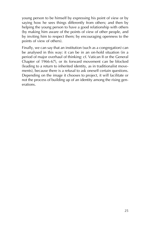young person to be himself by expressing his point of view or by saying how he sees things differently from others; and then by helping the young person to have a good relationship with others (by making him aware of the points of view of other people, and by inviting him to respect them; by encouraging openness to the points of view of others).

Finally, we can say that an institution (such as a congregation) can be analysed in this way: it can be in an on-hold situation (in a period of major overhaul of thinking: cf. Vatican II or the General Chapter of 1966-67), or its forward movement can be blocked (leading to a return to inherited identity, as in traditionalist movements), because there is a refusal to ask oneself certain questions. Depending on the image it chooses to project, it will facilitate or not the process of building up of an identity among the rising generations.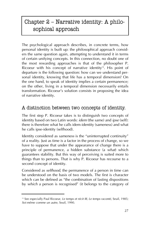# Chapter  $2$  – Narrative identity: A philosophical approach

The psychological approach describes, in concrete terms, how personal identity is built up: the philosophical approach considers the same question again, attempting to understand it in terms of certain unifying concepts. In this connection, no doubt one of the most rewarding approaches is that of the philosopher P. Ricoeur with his concept of narrative identity<sup>14</sup>. His point of departure is the following question: how can we understand personal identity, knowing that life has a temporal dimension? On the one hand, to speak of identity implies a certain permanence; on the other, living in a temporal dimension necessarily entails transformation. Ricoeur's solution consists in proposing the idea of narrative identity.

## A distinction between two concepts of identity.

The first step P. Ricoeur takes is to distinguish two concepts of identity based on two Latin words: *idem* (the same) and *ipse* (self): there is therefore what he calls idem-identity (sameness) and what he calls ipse-identity (selfhood).

Identity considered as *sameness* is the "uninterrupted continuity" of a reality. Just as time is a factor in the process of change, so we have to suppose that under the appearance of change there is a principle of permanence, a hidden substance (a *what*) which guarantees stability. But this way of perceiving is suited more to things than to persons. That is why P. Ricoeur has recourse to a second concept of identity.

Considered as *selfhood*, the permanence of a person in time can be understood on the basis of two models. The first is character which can be defined as "the combination of lasting dispositions" by which a person is recognised" (it belongs to the category of

<sup>&</sup>lt;sup>14</sup> See especially Paul Ricoeur, *Le temps et récit III, Le temps raconté*, Seuil, 1985; *Soi-mÍme comme un autre*, Seuil, 1990.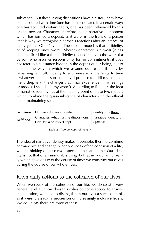substance). But these lasting dispositions have a history: they have been acquired with time (one has been educated in a certain way; one has acquired certain habits; one has been influenced by this or that person). Character, therefore, has a narrative component which has formed a deposit, as it were, in the traits of a person (that is why we recognise a person's reactions after an interval of many years: "Oh, it's you"). The second model is that of fidelity, or of keeping one's word. Whereas character is a *what* (it has become fixed like a thing), fidelity refers directly to the *who* of a person, who assumes responsibility for his commitments: it does not refer to a substance hidden in the depths of our being, but to an act (the way in which we assume our responsibilities by remaining faithful). Fidelity to a promise is a challenge to time  $"$ whatever happens subsequently, I promise to fulfil my commitment; despite all the changes that I may experience in my feelings or moods, I shall keep my word"). According to Ricoeur, the idea of narrative identity lies at the meeting point of these two models which combine the quasi-substance of character with the ethical act of maintaining self.

|                 | Sameness   Hidden substance: a what                            | Identity of a thing |
|-----------------|----------------------------------------------------------------|---------------------|
| <b>Selfhood</b> | Character: what (lasting dispositions)   Narrative identity of |                     |
|                 | Fidelity: who (word kept)                                      | a person            |

Table 2 : Two concepts of identity

The idea of narrative identity makes it possible, then, to combine permanence and change: when we speak of the cohesion of a life, we are thinking of these two aspects at the same time. Our identity is not that of an immutable thing, but rather a dynamic reality which develops over the course of time: we construct ourselves during the course of our whole lives.

# From daily actions to the cohesion of our lives.

When we speak of the cohesion of our life, we do so at a very general level. But how does this cohesion come about? To answer this question, we need to distinguish in our lives a succession of, as it were, plateaux, a succession of increasingly inclusive levels. We could say there are three of these.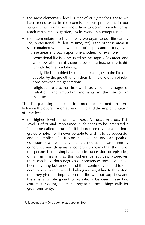- the most elementary level is that of our *practices*: those we have recourse to in the exercise of our profession, in our leisure time... (what we know how to do in concrete terms: teach mathematics, garden, cycle, work on a computer...).
- the intermediate level is the way we organise our life (family life, professional life, leisure time, etc). Each of these areas is self-contained with its own set of principles and history, even if these areas encroach upon one another. For example:
	- professional life is punctuated by the stages of a career, and we know also that it shapes a person (a teacher reacts differently from a brick-layer);
	- $\overline{a}$  family life is moulded by the different stages in the life of a couple, by the growth of children, by the evolution of relations between the generations;
	- religious life also has its own history, with its stages of initiation, and important moments in the life of an Institute.

The life-planning stage is intermediate or medium term between the overall orientation of a life and the implementation of practices.

ï the highest level is that of *the narrative unity of a life*. This level is of capital importance. "Life needs to be integrated if it is to be called a true life. If I do not see my life as an integrated whole, I will never be able to wish it to be successful and accomplished"<sup>15</sup>. It is on this level that one can speak of cohesion of a life. This is characterised at the same time by coherence and dynamism: coherence means that the life of the person is not simply a chaotic succession of episodes; dynamism means that this coherence evolves. Moreover, there can be various degrees of coherence: some lives have been anything but smooth and their continuity is hard to discern; others have proceeded along a straight line to the extent that they give the impression of a life without surprises; and there is a whole gamut of variations between these two extremes. Making judgments regarding these things calls for great sensitivity.

<sup>&</sup>lt;sup>15</sup> P. Ricoeur, *Soi-même comme un autre*, p. 190.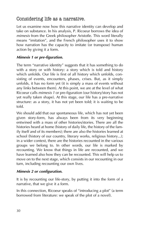# Considering life as a narrative.

Let us examine now how this narrative identity can develop and take on substance. In his analysis, P. Ricoeur borrows the idea of *mimesis* from the Greek philosopher Aristotle. This word literally means "imitation", and the French philosopher uses it to show how narration has the capacity to imitate (or transpose) human action by giving it a form.

#### *Mimesis 1 or pre-figuration.*

The term "narrative identity" suggests that it has something to do with a story or with history: a story which is told and history which unfolds. Our life is first of all history which unfolds, consisting of events, encounters, phases, crises. But, as it simply unfolds, it has no form yet (it is simply a mass of events without any links between them). At this point, we are at the level of what Ricoeur calls *mimesis 1* or pre-figuration (our history/story has not yet really taken shape). At this stage, our life has a pre-narrative structure: as a story, it has not yet been told; it is waiting to be told.

We should add that our spontaneous life, which has not yet been given story-form, has always been from its very beginning entwined with a mass of other histories/stories. There are all the histories heard at home (history of daily life, the history of the family itself and of its members); there are also the histories learned at school (history of our country, literary works, religious history...); in a wider context, there are the histories recounted in the various groups we belong to. In other words, our life is marked by recounting. We know that things in life are recounted, and we have learned also how they can be recounted. This will help us to move on to the next stage, which consists in our recounting in our turn, including recounting our own lives.

#### *Mimesis 2 or configuration.*

It is by recounting our life-story, by putting it into the form of a narrative, that we give it a form.

In this connection, Ricoeur speaks of "introducing a plot" (a term borrowed from literature: we speak of the plot of a novel).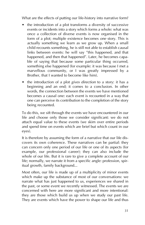What are the effects of putting our life-history into narrative form?

- $\bullet$  the introduction of a plot transforms a diversity of successive events or incidents into a story which forms a whole: what was once a collection of diverse events is now organised in the form of a plot; multiple existence becomes *one* story. This is actually something we learn as we grow up. When a small child recounts something, he is still not able to establish causal links between events: he will say "this happened, and that happened, and then that happened". Later, he becomes capable of saying that because some particular thing occurred, something else happened (for example: it was because I met a marvellous community, or I was greatly impressed by a Brother, that I wanted to become like him).
- the introduction of a plot *gives direction* to a story: it has a beginning and an end; it comes to a conclusion. In other words, the connection between the events we have mentioned becomes a causal one: each event is recounted in a way that one can perceive its contribution to the completion of the story being recounted.

To do this, we sift through the events we have encountered in our life and choose only those we consider significant: we do not attach equal value to these events (we skim over entire periods and spend time on events which are brief but which count in our eyes).

It is therefore by assuming the form of a narrative that our life discovers its own coherence. These narratives can be partial: they can concern only one period of our life or one of its aspects (for example, our professional career); they can also include the whole of our life. But it is rare to give a complete account of our life; normally, we narrate it from a specific angle: profession, spiritual growth, family background...

Most often, our life is made up of a multiplicity of minor events which make up the substance of most of our conversations: we narrate what has just happened to us, experiences we shared in the past, or some event we recently witnessed. The events we are concerned with here are more significant and more intentional: they are those which build us up when we study our past life. They are events which have the power to shape our life and thus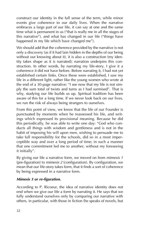construct our identity in the full sense of the term, while minor events give coherence to our daily lives. When the narrative embraces a large part of our life, it can say at one and the same time what is permanent in us ("that is really me in all the stages of this narrative"), and what has changed in our life ("things have happened in my life which have changed me").

We should add that the coherence provided by the narrative is not only a discovery (as if it had lain hidden in the depths of our being without our knowing about it), it is also a construction (my identity takes shape as it is narrated); narration underpins this construction. In other words, by narrating my life-story, I give it a coherence it did not have before. Before narrating it, I had not yet established certain links. Once these were established, I saw my life in a different light, rather like the young women who wrote at the end of a 30-page narrative: "I see now that my life is not simply the sum total of twists and turns as I had surmised". That is why, studying our life builds us up. Spiritual tradition has been aware of this for a long time. If we never look back on our lives, we run the risk of always being strangers to ourselves.

From this point of view, we know that the life of our Founder is punctuated by moments when he reassessed his life, and writings which expressed its provisional meaning. Because he did this periodically, he was able to write one day: "God who conducts all things with wisdom and gentleness and is not in the habit of imposing his will upon men, wishing to persuade me to take full responsibility for the schools, did so in a most imperceptible way and over a long period of time; in such a manner that one commitment led me to another, without my foreseeing it initially".

By giving our life a narrative form, we moved on from *mimesis 1* (pre-figuration) to *mimesis 2* (configuration). By configuration, we mean that our life-story takes form, that it finds a sort of coherence by being expressed in a narrative form.

#### *Mimesis 3 or re-figuration.*

According to P. Ricoeur, the idea of narrative identity does not end when we give our life a form by narrating it. He says that we fully understand ourselves only by comparing our narrative with others, in particular, with those in fiction (he speaks of novels, but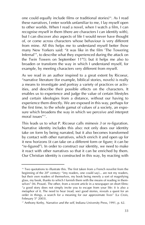one could equally include films or traditional stories)<sup>16</sup>. As I read these narratives, I enter worlds unfamiliar to me, I lay myself open to other worlds. When I read a novel, when I watch a film, I can recognise myself in them (there are characters I can identify with), but I can discover also aspects of life I would never have thought of, or come across characters whose behaviour is very different from mine. All this helps me to understand myself better (how many New Yorkers said: "it was like in the film 'The Towering Infernal<sup>'</sup>, to describe what they experienced during the attack on the Twin Towers on September  $11<sup>th</sup>!)$ ; but it helps me also to broaden or transform the way in which I understand myself, for example, by meeting characters very different from myself.

As we read in an author inspired to a great extent by Ricoeur, ìnarrative literature (for example, biblical stories, novels) is really a means to investigate and portray a variety of practices or activities, and describe their possible effects on the characters. It enables us to experience and judge the value of certain lifestyles and certain ideologies from a distance, without our having to experience them directly. We are exposed in this way, perhaps for the first time, to the whole gamut of values of a society, an exposure which broadens the way in which we perceive and interpret moral issues"<sup>17</sup>.

This leads us to what P. Ricoeur calls *mimesis 3* or re-figuration. Narrative identity includes this also: not only does our identity take on form by being narrated, but it also becomes transformed by contact with other narratives, which enrich it and open up for it new horizons (it can take on a different form or figure; it can be  $"$ re-figured"). In order to construct our identity, we need to make it react with other narratives so that it can be enriched by them. Our Christian identity is constructed in this way, by reacting with

<sup>&</sup>lt;sup>16</sup> Two quotations to illustrate this. The first taken from a French novelist from the beginning of the 20<sup>th</sup> century: "(my readers, one could say)... are not my readers, but their own readers of themselves, my book being merely a sort of magnifying glass, my book, thanks to which I furnish them with the means of reading in themselves" (M. Proust). The other, from a recent article in a newspaper on short films: ìa good story does not simply invite you to escape from your life: it is also a metaphor of it. The need to hear (read, see) good stories, reveals a quest for an order in things, a search for a meaning for our approximate lives<sup>"</sup> (*La Croix*, February  $5<sup>th</sup>$  2003).

<sup>&</sup>lt;sup>17</sup> Anthony Kerby, *Narrative and the self*, Indiana University Press, 1991, p. 62.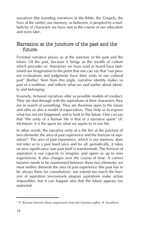narratives (the founding narratives in the Bible, the Gospels, the lives of the saints); our memory, as believers, is peopled by a multiplicity of characters we have met in the course of our education and even later.

### Narration at the juncture of the past and the future.

Fictional narrative places us at the juncture of the past and the future. Of the past, because it brings us the wealth of culture which precedes us. Narratives we have read or heard have fashioned our imagination to the point that one can say that "our present evaluations and judgments have their roots in our cultural past" (Kerby). Seen from this angle, narrative identity makes us part of a tradition, and reflects what we said earlier about identity and belonging.

Inversely, fictional narratives offer us possible models of conduct. They are shot through with the aspirations of their characters; they are in search of something. They are therefore open to the future and offer us also a model of expectation. They help us to express what has not yet happened, and to look to the future. One can say that "the unity of a human life is that of a narrative quest"  $(A.$ McIntyre): it is the quest for what we aspire to in our life.

In other words, the narrative unity of a life lies at the juncture of two elements: the area of past experience and the horizon of aspiration<sup>18</sup>. The area of past experience, which is our memory, does not refer us to a past fixed once and for all: periodically, it takes on new significance (our past itself is transformed). The horizon of aspiration is our capacity to imagine, and opens us up to new experiences. It also changes over the course of time. A correct balance needs to be maintained between these two elements: we must neither diminish the area of past experience (the past has to be always there for consultation), nor extend too much the horizon of aspiration (excessively utopian aspirations make action impossible); but it can happen also that the future appears too restricted.

<sup>&</sup>lt;sup>18</sup> P. Ricoeur borrows these expressions from the German author, R. Koselleck.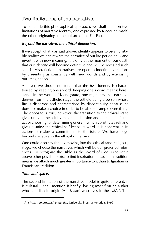# Two limitations of the narrative.

To conclude this philosophical approach, we shall mention two limitations of narrative identity, one expressed by Ricoeur himself, the other originating in the culture of the Far East.

#### *Beyond the narrative, the ethical dimension.*

If we accept what was said above, identity appears to be an unstable reality: we can rewrite the narrative of our life periodically and invest it with new meaning. It is only at the moment of our death that our identity will become definitive and will be revealed such as it is. Also, fictional narratives are open to indefinite variations by presenting us constantly with new worlds and by exercising our imagination.

And yet, we should not forget that the *ipse* identity is characterised by keeping one's word. Keeping one's word means: here I stand! In the words of Kierkegaard, one might say that narrative derives from the esthetic stage, the esthete being a person whose life is dispersed and characterised by discontinuity because he does not make a choice in order to be able to sample everything. The opposite is true, however: the transition to the ethical stage gives unity to the self by making a decision and a choice: it is the act of choosing, of determining oneself, which constitutes self and gives it unity: the ethical self keeps its word, it is coherent in its actions, it makes a commitment to the future. We have to go beyond narrative in the ethical dimension.

One could also say that by moving into the ethical (and religious) stage, we choose the narratives which will be our preferred references. To recognise the Bible as the Word of God, is to set it above other possible texts; to find inspiration in Lasallian tradition means we attach much greater importance to it than to Ignatian or Franciscan tradition.

#### *Time and space.*

The second limitation of the narrative model is quite different: it is cultural. I shall mention it briefly, basing myself on an author who is Indian in origin (Ajit Maan) who lives in the USA<sup>19</sup>. The

<sup>&</sup>lt;sup>19</sup> Ajit Maan, *Internarrative identity*, University Press of America, 1999.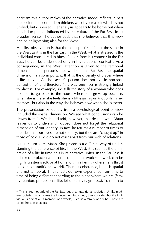criticism this author makes of the narrative model reflects in part the position of postmodern thinkers who favour a self which is not unified, but dispersed. Her analysis appears to be borne out when applied to people influenced by the culture of the Far East, in its broadest sense. The author adds that she believes that this view can be enlightening also for the West.

Her first observation is that the concept of self is not the same in the West as it is in the Far East. In the West, what is stressed is the individual considered in himself, apart from his context: in the Far East, he can be understood only in his relational context<sup>20</sup>. As a consequence, in the West, attention is given to the temporal dimension of a person's life, while in the Far East the spatial dimension is also important, that is, the diversity of places where a life is lived. As she says, "a person does not live in non-spatialised time" and therefore "the way one lives is strongly linked to places". For example, she tells the story of a woman who does not like to go back to the house where she grew up because, when she is there, she feels she is a little girl again (not only in her memory, but also in the way she behaves now when she is there).

The presentation of identity from a psychological point of view included the spatial dimension. We see what conclusions can be drawn from it. We should add, however, that despite what Maan leaves us to understand, Ricoeur does not forget the relational dimension of our identity. In fact, he returns a number of times to the idea that our lives are not solitary, but they are "caught up" in those of others. We do not exist apart from our web of relations.

Let us return to A. Maan. She proposes a different way of understanding the coherence of life. In the West, it is seen as the unification of a life in time (this is its narrative unity). In the Far East, it is linked to places: a person is different at work (the work can be highly westernised), or at home with his family (where he is thrust back into a traditional world). There is coherence, but it is spatial and not temporal. This reflects our own experience from time to time of being different according to the place where we are (family reunion, professional life, leisure activity group...). To return to

<sup>&</sup>lt;sup>20</sup> This is true not only of the Far East, but of all traditional societies. Unlike modern societies, which stress the independent individual, they consider that the individual is first of all a member of a whole, such as a family or a tribe. These are called holistic societies.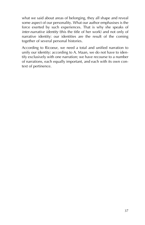what we said about areas of belonging, they all shape and reveal some aspect of our personality. What our author emphasises is the force exerted by such experiences. That is why she speaks of *inter-narrative identity* (this the title of her work) and not only of narrative identity: our identities are the result of the coming together of several personal histories.

According to Ricoeur, we need a total and unified narration to unify our identity: according to A. Maan, we do not have to identify exclusively with one narration; we have recourse to a number of narrations, each equally important, and each with its own context of pertinence.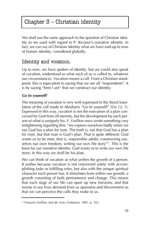# Chapter  $3$  – Christian identity

We shall use the same approach to the question of Christian identity as we used with regard to P. Ricoeur's narrative identity. In fact, we can say of Christian identity what we have said up to now of human identity, considered globally.

# Identity and vocation.

Up to now, we have spoken of identity, but we could also speak of vocation, understood as what each of us is called to, whatever our circumstances. Vocation means a call. From a Christian standpoint, this is equivalent to saying that we are all "respondents". It is by saying "here I am" that we construct our identity.

#### *Go to yourself!*

The meaning of vocation is very well expressed in the literal translation of the call made to Abraham: "Go to yourself!" (Gn 12, 1). Expressed in this way, vocation is not the execution of a plan conceived by God from all eternity, but the development by each person of what is uniquely his. F. Varillon once wrote something very enlightening regarding this: "we express ourselves badly when we say God has a plan for man. The truth is, not that God has a plan for man, but that man is God's plan. That is quite different. God wants us to be men, that is, responsible adults, constructing ourselves our own freedom, writing our own life story"<sup>21</sup>. This is the basis for our narrative identity: God wants us to write our own life story; in this way we shall be his plan.

We can think of vocation as what unifies the growth of a person. It unifies because vocation is not concerned solely with accomplishing tasks or fulfilling roles, but also with the unique spiritual character each person has. It stimulates from within our growth, a growth consisting of both permanence and change. This means that each stage of our life can open up new horizons, and that events in our lives demand from us openness and discernment so that we can perceive the calls they make to us.

<sup>&</sup>lt;sup>21</sup> François Varillon, *Joie de vivre*, Centurion, 1981, p. 103.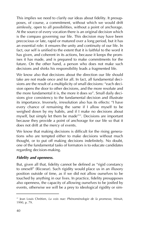This implies we need to clarify our ideas about fidelity. It presupposes, of course, a commitment, without which we would drift aimlessly, open to all possibilities, without a point of anchorage. At the source of every vocation there is an original decision which is the compass governing our life. This decision may have been precocious or late, rapid or matured over a long period, but it has an essential role: it ensures the unity and continuity of our life. In fact, our self is unified to the extent that it is faithful to the word it has given, and coherent in its actions, because it keeps the promises it has made, and is prepared to make commitments for the future. On the other hand, a person who does not make such decisions and shirks his responsibility leads a fragmented life.

We know also that decisions about the direction our life should take are not made once and for all. In fact, all fundamental decisions are the result of a multiplicity of small decisions: "each decision opens the door to other decisions, and the more resolute and the more fundamental it is, the more it does so". Small daily decisions give consistency to the fundamental decision and illustrate its importance. Inversely, irresolution also has its effects: "I have every chance of remaining the same if I allow myself to be weighed down by my habits, and if I make no decisions about myself, but simply let them be made<sup>"22</sup>. Decisions are important because they provide a point of anchorage for our life so that it does not drift at the mercy of events.

We know that making decisions is difficult for the rising generations who are tempted either to make decisions without much thought, or to put off making decisions indefinitely. No doubt, one of the fundamental tasks of formators is to educate candidates regarding decision-making.

#### *Fidelity and openness.*

But, given all that, fidelity cannot be defined as "rigid constancy to oneself" (Ricoeur). Such rigidity would place us in an illusory position outside of time, as if we did not allow ourselves to be touched by anything in our lives. In practice, fidelity presupposes also openness, the capacity of allowing ourselves to be jostled by events, otherwise we will be a prey to ideological rigidity or sim-

<sup>&</sup>lt;sup>22</sup> Jean Louis Chrétien, *La voix nue: Phénoménologie de la promesse*, Minuit, 1990, p. 79.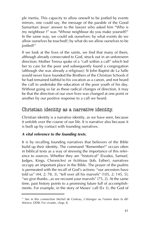ple inertia. This capacity to allow oneself to be jostled by events mirrors, one could say, the message of the parable of the Good Samaritan: Jesus' answer to the lawyer who asked him "Who is my neighbour ?" was "Whose neighbour do you make yourself?" In the same way, we could ask ourselves: by what events do we allow ourselves be touched?; by what do we allow ourselves to be jostled?<sup>23</sup>

If we look at the lives of the saints, we find that many of them, although already consecrated to God, struck out in an unforeseen direction: Mother Teresa spoke of a "call within a call" which led her to care for the poor and subsequently found a congregation (although she was already a religious); St John Baptist de La Salle would never have founded the Brothers of the Christian Schools if he had remained faithful to his vocation as a canon, and not heard the call to undertake the education of the poor youth of his day. Without going so far as these radical changes of direction, it may be that the direction of our own lives was changed at one point or another by our positive response to a call we heard.

### Christian identity as a narrative identity.

Christian identity is a narrative identity, as we have seen, because it unfolds over the course of our life. It is narrative also because it is built up by contact with founding narratives.

#### *A vital reference to the founding texts.*

It is by recalling founding narratives that believers of the Bible build up their identity. The command "Remember!" occurs often in biblical texts as a way of stressing the importance of this reference to sources. Whether they are "historical" (Exodus, Samuel, Judges, Kings, Chronicles) or fictitious (Job, Esther), narratives occupy an important place in the Bible. The prayer of the psalms is permeated with the recall of God's actions: "our ancestors have told us"  $(44, 2; 78, 3)$ , "tell over all his marvels"  $(105, 2; 145, 5)$ ; "we give thanks...as we recount your marvels"  $(75, 2)$ . At the same time, past history points to a promising future full of accomplishments. For example, in the story of Moses' call (Ex 3), the God of

<sup>&</sup>lt;sup>23</sup> See in this connection Michel de Certeau, *L'étranger ou l'union dans la diffÈrence*, DDB, Foi vivante, chap. 8.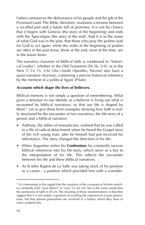Fathers announces the deliverance of his people and the gift of the Promised Land. The Bible, therefore, maintains a tension between a recalled past and a future full of promises: it is not by chance that it begins with Genesis (the story of the beginning) and ends with the Apocalypse (the story of the end). And it is in the name of what God was in the past, that those who pray the psalms wait for God to act again: while the verbs at the beginning of psalms are often in the past tense, those at the end, most of the time, are in the future tense.

The narrative character of biblical faith is condensed in "historical credos", whether in the Old Testament (Dt 26, 5-9), or in the New (1 Co 15, 3-6). Our creeds (Apostles, Nicene) also have a quasi-narrative structure, containing a precise historical reference by the mention of a political figure (Pilate).

#### *Accounts which shape the lives of believers.*

Biblical memory is not simply a question of remembering. What gives a structure to our identity as a believer is living out what is recounted by biblical narratives, so that our life is shaped by them<sup>24</sup>. Let us give three brief examples showing how faith is really structured by the encounter of two narratives, the life-story of a person and a biblical narrative:

- Anthony, the father of monasticism, realised that he was called to a life of radical detachment when he heard the Gospel story of the rich young man, after he himself had just received his inheritance. The story changed the direction of his life.
- When Augustine writes his **Confessions**, he constantly weaves biblical references into his life-story, which serve as a key to the interpretation of his life. This reflects the encounter between his life and these biblical narratives.
- As St John Baptist de La Salle was taking stock of his position as a canon - a position which provided him with a consider-

 $24$  It is interesting in this regard that the narrative of the covenant at Sichem switches constantly from "your fathers" to "you" (cf. Jos 24). See in the same connection the profession of faith in Dt 24. The meaning of these transformations is that they suggest that it is not simply a question of recalling the experiences of past generations, but that present generations are involved in a history which they have to relive symbolically.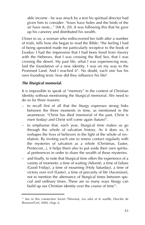able income - he was struck by a text his spiritual director had given him to consider: "foxes have holes and the birds of the air have nests..." (Mt  $8, 20$ ). It was following this that he gave up his canonry and distributed his wealth.

Closer to us, a woman who rediscovered her faith after a number of trials, tells how she began to read the Bible: "the feeling I had of being uprooted made me particularly receptive to the book of Exodus: I had the impression that I had been freed from slavery with the Hebrews, that I was crossing the Red Sea, that I was crossing the desert. My past life, what I was experiencing now, laid the foundation of a new identity. I was on my way to the Promised Land. And I reached it". No doubt, each one has his own founding texts: how did they influence his life?

#### *The liturgical memorial.*

It is impossible to speak of "memory" in the context of Christian identity without mentioning the liturgical memorial. We need to do so for three reasons:

- to recall first of all that the liturgy expresses strong links between the three moments in time, as mentioned in the anamnesis: "Christ has died (memorial of the past, Christ is risen (today) and Christ will come again (future)".
- $-$  to emphasise that, each year, liturgical time makes us go through the whole of salvation history. As it does so, it reshapes the lives of believers in the light of the whole of revelation. By inviting each one to renew contact regularly with the mysteries of salvation as a whole (Christmas, Easter, Pentecost...), it helps them also to put aside their own spiritual preferences in order to share the wealth of these mysteries.
- $\alpha$  and finally, to note that liturgical time offers the experience of a variety of moments: a time of waiting (Advent), a time of failure (Good Friday), a time of mourning (Holy Saturday), a time of victory over evil (Easter), a time of precarity of life (Ascension), not to mention the alternance of liturgical times between special and ordinary times. These are so many ways liturgy can build up our Christian identity over the course of time<sup>25</sup>.

<sup>&</sup>lt;sup>25</sup> See in this connection Xavier Thévenot, Les ailes et le souffle, Desclée de Brouwer/Cerf, 2000, chap. 6.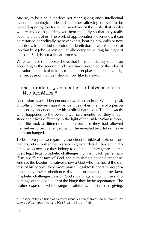And so, to be a believer does not mean giving one's intellectual assent to theological ideas, but rather allowing oneself to be worked upon by the founding narratives of the Bible: that is why we are invited to ponder over them regularly so that they really become a part of us. The work of appropriation never ends: it can be restarted periodically by new events, bearing new calls or new questions. In a period of profound dereliction, it was the book of Job that kept John Baptist de La Salle company during his night of the soul. So it is not a linear process.

What we have said above shows that Christian identity is built up according to the general model we have presented of this idea of narration, in particular, in its re-figuration phase. It is no less original because of that, as I should now like to show.

### Christian identity as a collision between narrative identities.<sup>26</sup>

A collision is a sudden encounter which can hurt. We can speak of collision between narrative identities when the life of a person is upset by an encounter with biblical narratives. This is exactly what happened to the persons we have mentioned: they understood their lives differently in the light of the Bible. What is more, their life took a different direction because they had allowed themselves to be challenged by it. The revealed text did not leave them unchanged.

To be more precise regarding the effect of biblical texts on their readers, let us look at their variety in greater detail. They act in different ways because they belong to different literary genres: narratives, legal texts, prophetic challenges, hymns... Each genre manifests a different face of God and stimulates a specific response. And so, the Exodus narratives show a God who has heard the distress of his people: they invite praise. Legal texts contain prescriptions: they invite obedience (by the observance of the law). Prophetic challenges pass on God's warnings following the shortcomings of the people (or of the king): they invite repentance. The psalms express a whole range of attitudes: praise, thanksgiving,

<sup>26</sup> The idea of the collision of narrative identities comes from George Stroup, *The promise of narrative theology*, SCM Press, 1981, p. 171ff.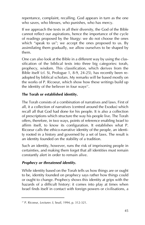repentance, complaint, recalling. God appears in turn as the one who saves, who blesses, who punishes, who has mercy.

If we approach the texts in all their diversity, the God of the Bible cannot reflect our aspirations, hence the importance of the cycle of readings proposed by the liturgy: we do not choose the ones which "speak to us"; we accept the ones proposed to us. By assimilating them gradually, we allow ourselves to be shaped by them.

One can also look at the Bible in a different way by using the classification of the biblical texts into three big categories: torah, prophecy, wisdom. This classification, which derives from the Bible itself (cf. Si, Prologue 1, 8-9, 24-25), has recently been readopted by biblical scholars. My remarks will be based mostly on the works of P. Ricoeur, which show how these writings build up the identity of the believer in four ways $2^7$ .

#### **The Torah or established identity.**

The Torah consists of a combination of narratives and laws. First of all, it a collection of narratives (centred around the Exodus) which recall all that God had done for his people. It is also a collection of prescriptions which structure the way his people live. The Torah offers, therefore, in two ways, points of reference enabling Israel to affirm itself, to know its configuration. It establishes what P. Ricoeur calls the ethico-narrative identity of the people, an identity rooted in a history and governed by a set of laws. The result is an identity founded on the stability of a tradition.

Such an identity, however, runs the risk of imprisoning people in certainties, and making them forget that all identities must remain constantly alert in order to remain alive.

#### *Prophecy or threatened identity.*

While identity based on the Torah tells us how things are or ought to be, identity founded on prophecy says rather how things could or ought to change. Prophecy shows this identity at grips with the hazards of a difficult history: it comes into play at times when Israel finds itself in contact with foreign powers or civilisations, a

<sup>27</sup> P. Ricoeur, *Lectures 3*, Seuil, 1994, p. 312-321.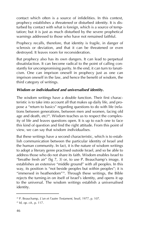contact which often is a source of infidelities. In this context, prophecy establishes a *threatened* or disturbed *identity*. It is disturbed by contact with what is foreign, which is a source of temptation; but it is just as much disturbed by the severe prophetical warnings addressed to those who have not remained faithful.

Prophecy recalls, therefore, that identity is fragile, in danger of sclerosis or deviation, and that it can be threatened or even destroyed. It leaves room for reconsideration.

But prophecy also has its own dangers. It can lead to perpetual dissatisfaction. It can become radical to the point of calling constantly for uncompromising purity. In the end, it can turn to fanaticism. One can imprison oneself in prophecy just as one can imprison oneself in the law, and hence the benefit of wisdom, the third category of writings.

#### *Wisdom or individualised and universalised identity.*

The wisdom writings have a double function. Their first characteristic is to take into account all that makes up daily life, and propose a "return to basics" regarding questions to do with life (relations between generations, between men and women, facing old age and death,  $etc$ )<sup>28</sup>. Wisdom teaches us to respect the complexity of life and leaves questions open. It is up to each one to face this kind of question and find the right attitude. From this point of view, we can say that wisdom *individualises*.

But these writings have a second characteristic, which is to establish communication between the particular identity of Israel and the human community. In fact, it is the nature of wisdom writings to adopt a literary genre practised outside Israel, and so be able to address those who do not share its faith. Wisdom enables Israel to "breathe fresh air" (Sg  $7, 3$ ) or, to use P. Beauchamp's image, it establishes an extensive "middle ground" with all peoples. In this way, its position is "not beside peoples but within peoples"; it is "immersed in heathendom"<sup>29</sup>. Through these writings, the Bible rejects the turning-in on itself of Israel's identity, and opens it up to the universal. The wisdom writings establish a universalised identity.

<sup>28</sup> P. Beauchamp, *L'un et l'autre Testament*, Seuil, 1977, p. 107.

<sup>29</sup> Id, *op. cit.*, p. 117.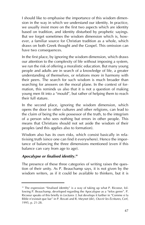I should like to emphasise the importance of this wisdom dimension in the way in which we understand our identity. In practice, we usually insist more on the first two aspects which are identity based on tradition, and identity disturbed by prophetic sayings. But we forget sometimes the wisdom dimension which is, however, a familiar source for Christian tradition as a whole, which draws on both Greek thought and the Gospel. This omission can have two consequences.

In the first place, by ignoring the wisdom dimension, which draws our attention to the complexity of life without imposing a system, we run the risk of offering a moralistic education. But many young people and adults are in search of a knowledge of life, a greater understanding of themselves, or relations more in harmony with their peers. The search for such wisdom is much broader than searching for answers on the moral plane. In the context of formation, this reminds us also that it is not a question of making young men fit into a "mould", but rather of helping them to reach their full stature.

In the second place, ignoring the wisdom dimension, which opens the door to other cultures and other religions, can lead to the claim of being the sole possessor of the truth, to the integrism of a person who sees nothing but errors in other people. This means that Christians should not set aside the wisdom of their peoples (and this applies also to formation).

Wisdom also has its own risks, which consist basically in relativising truth (since one can find it everywhere). Hence the importance of balancing the three dimensions mentioned (even if this balance can vary from age to age).

#### *Apocalypse or finalised identity.30*

The presence of these three categories of writing raises the question of their unity. As P. Beauchamp says, it is not given by the wisdom writers, as if it could be available to thinkers, but it is

<sup>&</sup>lt;sup>30</sup> The expression "finalised identity" is a way of taking up what P. Ricoeur, following P. Beauchamp, developed regarding the Apocalypse as a "telos genre". P. Ricoeur speaks of this briefly in *Lectures 3*, but develops it further in "Comme si la Bible n'existait que lue" in P. Bovati and R. Meynet (dir), *Ouvrir les Écritures*, Cerf, 1995, p. 21-28.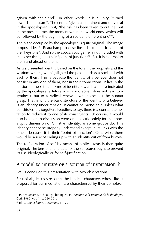"given with their end". In other words, it is a unity "turned towards the future". The end is "given as imminent and universal in the apocalypse". In it, "the risk has been taken to outline, but in the present time, the moment when the world ends, which will be followed by the beginning of a radically different one<sup> $n_{31}$ </sup>.

The place occupied by the apocalypse is quite original. The image proposed by P. Beauchamp to describe it is striking: it is that of the "keystone". And so the apocalyptic genre is not included with the other three; it is their "point of junction"<sup>32</sup>. But it is external to them and ahead of them.

As we presented identity based on the torah, the prophets and the wisdom writers, we highlighted the possible risks associated with each of them. This is because the identity of a believer does not consist in any one of them, nor in their connections. It lies in the tension of these three forms of identity towards a future indicated by the apocalypse, a future which, moreover, does not lead to a synthesis, but to a radical renewal, which escapes the human grasp. That is why the basic structure of the identity of a believer is an identity under tension. It cannot be monolithic unless what constitutes it is forgotten. Needless to say, there is a constant temptation to reduce it to one of its constituents. Of course, it would also be open to discussion were one to settle solely for the apocalyptic dimension of Christian identity, as some groups do. This identity cannot be properly understood except in its links with the others, because it is their "point of junction". Otherwise, there would be a risk of ending up with an identity cut off from history.

The re-figuration of self by means of biblical texts is then quite original. The tensional character of the Scriptures ought to prevent its use ideologically or for self-justification.

### A model to imitate or a source of inspiration ?

Let us conclude this presentation with two observations.

First of all, let us stress that the biblical characters whose life is proposed for our meditation are characterised by their complexi-

<sup>&</sup>lt;sup>31</sup> P. Beauchamp, "Théologie biblique", in *Initiation à la pratique de la théologie*, Cerf, 1982, vol. 1, p. 220-221.

<sup>32</sup> Id., *L'une et l'autre Testament*, p. 172.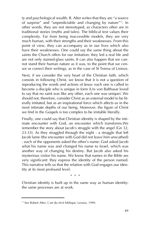ty and psychological wealth. R. Alter writes that they are "a source of surprise" and "unpredictable and changing by nature"<sup>33</sup>. In other words, they are not stereotyped, as characters often are in traditional stories (myths and tales). The biblical text values their complexity. Far from being inaccessible models, they are very much human, with their strengths and their weaknesses. From this point of view, they can accompany us in our lives which also have their weaknesses. One could say the same thing about the saints the Church offers for our imitation: they led a real life and are not only stained-glass saints. It can also happen that we cannot stand their human nature as it was, to the point that we censor or correct their writings, as in the case of St Teresa of Lisieux.

Next, if we consider the very heart of the Christian faith, which consists in following Christ, we know that it is not a question of reproducing the words and actions of Jesus: each one is called to become a disciple who is unique in form (Urs von Balthasar loved to say that no saint was like any other, each one was unique). We should not, therefore, consider Christ as an external model to be literally imitated, but as an inspirational force which affects us in the most intimate depths of our being. Moreover, the figure of Christ we find in the Gospels is too complex to be imitable literally.

Finally, one could say that Christian identity is shaped by the intimate encounter with God, an encounter which transforms.We remember the story about Jacob's struggle with the angel (Gn 32, 23-33). As they struggled through the night - a struggle that left Jacob lame (the encounter with God did not leave him unscathed) - each of the opponents asked the other's name: God asked Jacob what his name was and changed his name to Israel, which was another way of changing his destiny. But Jacob also asked his mysterious visitor his name. We know that names in the Bible are very significant: they express the identity of the person named. This narrative tells us that the relation with God engages our identity at its most profound level.

\* \* \*

Christian identity is built up in the same way as human identity: the same processes are at work.

<sup>33</sup> See Robert Alter, L'art du récit biblique, Lessius, 1999.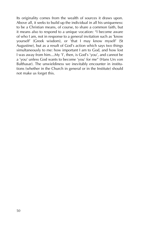Its originality comes from the wealth of sources it draws upon. Above all, it seeks to build up the individual in all his uniqueness: to be a Christian means, of course, to share a common faith, but it means also to respond to a unique vocation: "I become aware of who I am, not in response to a general invitation such as 'know yourself' (Greek wisdom), or 'that I may know myself' (St Augustine), but as a result of God's action which says two things simultaneously to me: how important I am to God, and how lost I was away from him....My 'I', then, is God's 'you', and cannot be a 'you' unless God wants to become 'you' for me" (Hans Urs von Balthasar). The unwieldiness we inevitably encounter in institutions (whether in the Church in general or in the Institute) should not make us forget this.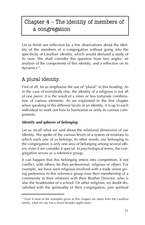# Chapter  $4$  – The identity of members of a congregation

Let us finish our reflection by a few observations about the identity of the members of a congregation without going into the specificity of Lasallian identity, which would demand a study of its own. We shall consider this question from two angles: an analysis of the components of this identity, and a reflection on its  $d$ ynamics $34$ .

# A plural identity.

First of all, let us emphasise the use of "plural" in this heading. As in the case of everybody else, the identity of a religious is not all of one piece: it is the result of a more or less fortunate combination of various elements. As we explained in the first chapter when speaking of the different facets of an identity, it is up to each individual to work out how to harmonise or unify its various components.

#### *Identity and spheres of belonging.*

Let us recall what we said about the relational dimension of our identity. We spoke of the various levels of a system of relations to which each one of us belongs. In other words, our belonging to the congregation is only one area of belonging among several others, even if we consider it special. In psychological terms, the congregation serves as a reference group.

It can happen that this belonging enters into competition, if not conflict, with others, be they professional, religious or others. For example, we have seen religious involved with a trade union giving preference to this reference group over their membership of a community in their relations with their Brother Director, who is also the headmaster of a school. Or other religious, no doubt dissatisfied with the spirituality of their congregation, join spiritual

<sup>&</sup>lt;sup>34</sup> Even if most of the examples given in this chapter are taken from the Lasallian family, what we say has a much broader application.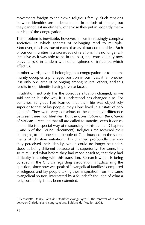movements foreign to their own religious family. Such tensions between identities are understandable in periods of change, but they cannot last indefinitely, otherwise they put in jeopardy membership of the congregation.

This problem is inevitable, however, in our increasingly complex societies, in which spheres of belonging tend to multiply. Moreover, this is as true of each of us as of our communities. Each of our communities is a crossroads of relations; it is no longer allinclusive as it was able to be in the past, and consequently now plays its role in tandem with other spheres of influence which affect us.

In other words, even if belonging to a congregation or to a community occupies a privileged position in our lives, it is nonetheless only one area of belonging among several others, and this results in our identity having diverse facets.

In addition, not only has the objective situation changed, as we said earlier, but the way it is understood has changed also. For centuries, religious had learned that their life was objectively superior to that of lay people; they alone lived in a "state of perfection". They were very conscious of the qualitative difference between these two lifestyles. But the *Constitution on the Church* of Vatican II recalled that all are called to sanctity, even if consecrated life is a special way of responding to this call (cf. Chapters 5 and 6 of the Council document). Religious rediscovered their belonging to the one same people of God founded on the sacraments of Christian initiation. This changed profoundly the way they perceived their identity, which could no longer be understood as being different because of its superiority. For some, this so relativised what before they had made absolute, that they had difficulty in coping with this transition. Research which is being pursued in the Church regarding association is radicalising the question, since now we speak of "evangelical families" composed of religious and lay people taking their inspiration from the same evangelical source, interpreted by a founder<sup>35</sup>: the idea of what a religious family is has been extended.

<sup>&</sup>lt;sup>35</sup> Bernadette Delizy, *Vers des "familles évangéliques"*. The renewal of relations between Christians and congregations, Éditions de l'Atelier, 2004.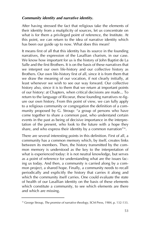#### *Community identity and narrative identity.*

After having stressed the fact that religious take the elements of their identity from a mutiplicity of sources, let us concentrate on what is for them a privileged point of reference, the Institute. At this point, we can return to the idea of narrative identity which has been our guide up to now. What does this mean?

It means first of all that this identity has its source in the founding narratives, the expression of the Lasallian charism, in our case. We know how important for us is the history of John Baptist de La Salle and the first Brothers. It is on the basis of these narratives that we interpret our own life-history and our collective history as Brothers. Our own life-history first of all, since it is from them that we draw the meaning of our vocation, if not clearly initially, at least whenever we wish to see our way forward. Our collective history also, since it is to them that we return at important points of our history: at Chapters, when critical decisions are made... To return to the language of Ricoeur, these founding narratives re-figure our own history. From this point of view, we can fully apply to a religious community or congregation the definition of a community proposed by G. Stroup: "a group of persons who have come together to share a common past, who understand certain events in the past as being of decisive importance in the interpretation of the present, who look to the future with a hope they share, and who express their identity by a common narration" $36$ .

There are several interesting points in this definition. First of all, a community has a common memory which, by itself, creates links between its members. Then, the history transmitted by the common memory is understood as the key to the interpretation of what is experienced today: it is not neutral knowledge, but serves as a point of reference for understanding what are the issues facing us today. And then, a community is carried along by a common project, a shared hope. Finally, a community needs to recall periodically and explicitly the history that carries it along and which the community itself carries. One could evaluate the state of health of our Lasallian identity on the basis of these elements which constitute a community, to see which elements are there and which are missing.

<sup>36</sup> George Stroup, *The promise of narrative theology*, SCM Press, 1984, p. 132-133.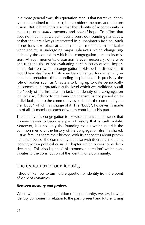In a more general way, this quotation recalls that narrative identity is not confined to the past, but combines memory and a future vision. But it highlights also that the identity of a community is made up of a *shared* memory and *shared* hope. To affirm that does not mean that we can never discuss our founding narratives, or that they are always interpreted in a unanimous fashion. Such discussions take place at certain critical moments, in particular when society is undergoing major upheavals which change significantly the context in which the congregation pursues its mission. At such moments, discussion is even necessary, otherwise one runs the risk of not evaluating certain issues of vital importance. But even when a congregation holds such a discussion, it would tear itself apart if its members diverged fundamentally in their interpretation of its founding inspiration. It is precisely the role of bodies such as Chapters to bring up to date periodically this common interpretation at the level which we traditionally call the "body of the Institute". In fact, the identity of a congregation (called also, fidelity to the founding charism) is not passed on to individuals, but to the community as such: it is the community, as the "body" which has charge of it. The "body", however, is made up of all its members, each of whom contributes his part.

The identity of a congregation is likewise narrative in the sense that it never ceases to become a part of history that is itself mobile. Moreover, it is not only the founding events which nourish the common memory: the history of the congregation itself is shared, just as families share their history, with its anecdotes about prominent members of the community, but also with its crucial moments (coping with a political crisis, a Chapter which proves to be decisive, etc.). This also is part of this "common narration" which contributes to the construction of the identity of a community.

# The dynamics of our identity.

I should like now to turn to the question of identity from the point of view of dynamics.

#### *Between memory and project.*

When we recalled the definition of a community, we saw how its identity combines its relation to the past, present and future. Using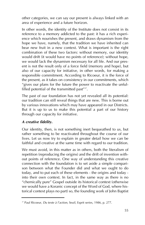other categories, we can say our present is always linked with an area of experience and a future horizon.

In other words, the identity of the Institute does not consist in its reference to a memory addicted to the past: it has a rich experience which nourishes the present, and draws dynamism from the hope we have, namely, that the tradition we have inherited can bear new fruit in a new context. What is important is the right combination of these two factors: without memory, our identity would drift (it would have no points of reference); without hope, we would lack the dynamism necessary for all life. And our present is not the result only of a force field (memory and hope), but also of our capacity for initiative, in other words, for making a responsible commitment. According to Ricoeur, it is the force of the present, as it takes on consistency in our commitments, which "gives our plans for the future the power to reactivate the unfulfilled potential of the transmitted past" $37$ .

The past of our foundation has not yet revealed all its potential: our tradition can still reveal things that are new. This is borne out by various innovations which may have appeared in our Districts. But it is up to us to make this potential a part of our history through our capacity for initiative.

#### *A creative fidelity.*

Our identity, then, is not something inert bequeathed to us, but rather something to be reactivated throughout the course of our lives. Let us now try to explain in greater detail how we can be faithful and creative at the same time with regard to our tradition.

We must avoid, in this matter as in others, both the literalism of repetition (reproducing the origins) and the drift of invention without points of reference. One way of understanding this creative connection with the foundation is to set aside a simple comparison between what the Founder did and what we ought to do today, and to put each of these elements - the origins and today into their own context. In fact, in the same way as there is no ìchemically pureî Gospel outside its historical context (otherwise we would have a Koranic concept of the Word of God, where historical context plays no part) so, the founding work of John Baptist

<sup>&</sup>lt;sup>37</sup> Paul Ricoeur, *Du texte à l'action*, Seuil, Esprit series, 1986, p. 277.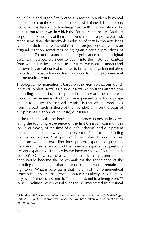de La Salle and of the first Brothers is rooted in a given historical context, both on the social and the ecclesial plane. It is, therefore, not to a Lasallian set of teachings "in itself" that we should be faithful, but to the way in which the Founder and the first Brothers responded to the calls of their time. And in their response we find, at the same time, the inevitable inclusion of certain characteristics typical of their time (we could mention prejudices), as well as an original reaction sometimes going against certain prejudices of this time. To understand the real significance of the original Lasallian message, we need to put it into the historical context from which it is inseparable. In our turn, we need to understand our own historical context in order to bring the Lasallian initiative up to date. To use a learned term, we need to undertake some real hermeneutical work.

Theological hermeneutics is based on the premise that our founding texts (biblical texts) as also our texts which transmit tradition (including dogma, but also spiritual doctrine) are the interpretation of an experience which can be expressed only by language and in a culture. The second premise is that we interpret texts from the past (such as those of the Founder) only on the basis of our present situation, our culture, our issues.

In the final analysis, the hermeneutical process consists in correlating the founding experience of the first Christian communities (or, in our case, of the time of our foundation) and our present experience, in such a way that the Word of God (or the founding documents) become "interpretive" for us today. This correlation, therefore, works in two directions: present experience questions the founding experience, and the founding experience questions present experience. That is why we have to speak of "critical correlation". Otherwise, there would be a risk that present experience would become the benchmark for the acceptance of the founding documents, or that these documents would remain foreign to us. What is essential is that the aim of the hermeneutical process is to ensure that "revelation remains always a contemporary event": it does not refer to "a dead past, but to a living word"<sup>38</sup> (p. 8). Tradition which equally has to be interpreted in a critical

<sup>&</sup>lt;sup>38</sup> Claude Geffré, *Croire et interpréter. Le tournant herméneutique de la théologie*, Cerf, 2001, p. 8. It is from this work that we have taken our observations on hermeneutics.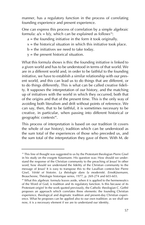manner, has a regulatory function in the process of correlating founding experience and present experience.

One can express this process of correlation by a simple algebraic formula:  $a/x = b/y$ , which can be explained as follows<sup>39</sup>:

- $a =$  the founding initiative in the form it took originally.
- $x =$  the historical situation in which this initiative took place.
- $b =$  the initiatives we need to take today.
- $y =$  the present historical situation.

What this formula shows is this: the founding initiative is linked to a given world and has to be understood in terms of that world. We are in a different world and, in order to be faithful to the founding initiative, we have to establish a similar relationship with our present world, and this can lead us to do things that are different, or to do things differently. This is what can be called creative fidelity. It supposes the interpretation of our history, and the matching up of initiatives with the world in which they occurred, both that of the origins and that of the present time. This is the only way of avoiding both literalism and drift without points of reference. We can say, then, that to be faithful, it is sometimes necessary to be creative, in particular, when passing into different historical or geographic contexts<sup>40</sup>.

This process of interpretation is based on our tradition (it covers the whole of our history), tradition which can be understood as the sum total of the experiences of those who preceded us, and the sum total of the interpretation they gave of them. With M. de

<sup>&</sup>lt;sup>39</sup> This line of thought was suggested to us by the Protestant theologian Pierre Gisel in his study on the exegete Käsemann. His question was: How should we understand the response of the Christian community to the preaching of Jesus? In other word, how should we understand the fidelity of the Christian community to the message of Jesus? It is easy to transpose this to the Lasallian context.See Pierre Gisel, *Vérité et histoire. La théologie dans la modernité. ErnstKäsemann*, Beauchesne, Théologie historique series, 1977, p. 269-274 and 603-603.

<sup>40</sup> What this algebraic formula leaves aside, when it is applied to the hermeneutics of the Word of God, is tradition and its regulatory function. Is this because of its Protestant origin? In the work quoted previously, the Catholic theologian C. Geffré proposes an approach which correlates three elements: the founding Christian experience, theological and dogmatic tradition and present-day Christian experience. What he proposes can be applied also to our own tradition: as we shall see now, it is a necessary element if we are to understand our identity.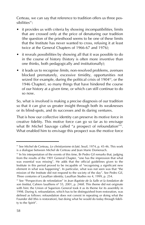Certeau, we can say that reference to tradition offers us three possibilities<sup>41</sup>:

- it provides us with criteria by showing *incompatibilities*, limits that are crossed only at the price of denaturing our tradition (the question of the priesthood seems to be one of these limits that the Institute has never wanted to cross, refusing it at least twice at the General Chapters of 1966-67 and 1976);
- it reveals *possibilities* by showing all that it was possible to do in the course of history (history is often more inventive than one thinks, both pedagogically and institutionally);
- it leads us to recognise *limits*, non-resolved problems, avenues blocked prematurely, excessive timidity, opportunities not seized (for example, during the political crisis of 1904<sup>42</sup>, or the 1946 Chapter), so many things that have hindered the course of our history at a given time, or which can still continue to do so now.

So, what is involved is making a precise diagnosis of our tradition so that it can give us greater insight through both its weaknesses or its blind-spots, and its successes and its daring ventures.

That is how our collective identity can preserve its motive force in creative fidelity. This motive force can go so far as to envisage what Br Michel Sauvage called "a prospect of refoundation"<sup>43</sup>. What enabled him to envisage this prospect was the motive force

<sup>&</sup>lt;sup>41</sup> See Michel de Certeau, *Le christianisme éclaté*, Seuil, 1974, p. 45-46. This work is a dialogue between Michel de Certeau and Jean Marie Domenach.

 $42$  In his interpretation of the events of this time, Br Pedro Gil remarks that, judging from the results of the 1901 General Chapter, "one has the impression that what was essential was missing". He adds that the official guidelines given to the Institute in this period proved to be incapable of "recognising a significant new element in what was happening". In particular, what was not seen was that "the mission of the Institute did not respond to the society of the day". See Pedro Gil, *Three centuries of Lasallian identity*, Lasallian Studies no 4, 1999, p. 254.

<sup>&</sup>lt;sup>43</sup> See "Perspectives de refondation" in *Jean Baptiste de la Salle et la fondation de son Institut*, Cahiers lasalliens nº 55, 2001, p. 246ff. This theme did not originate with him: the Union of Superiors General took it as its theme for its assembly in 1998. During it, refoundation, which has to be distinguished from restoration, was defined as follows: refoundation does not consist in repeating or doing what the Founder did (this is restoration), but doing what he would do today through fidelity to the Spirit".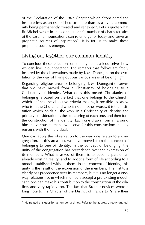of the Declaration of the 1967 Chapter which "considered the Institute less as an established structure than as a living community being permanently created and renewed". Let us quote what Br Michel wrote in this connection: "a number of characteristics of the Lasallian foundations can re-emerge for today and serve as prophetic sources of inspiration". It is for us to make these prophetic sources emerge.

### Living out together our common identity.

To conclude these reflections on identity, let us ask ourselves how we can live it out together. The remarks that follow are freely inspired by the observations made by J. M. Donegani on the evolution of the way of living out our various areas of belonging<sup>44</sup>.

Regarding religious areas of belonging, J. M. Donegani observes that we have moved from a Christianity of belonging to a Christianity of identity. What does this mean? Christianity of belonging is based on the fact that one belongs to the Church, which defines the objective criteria making it possible to know who is in the Church and who is not. In other words, it is the institution which holds all the keys. In a Christianity of identity, the primary consideration is the structuring of each one, and therefore the construction of his identity. Each one draws from all around him the various elements will serve for this construction: the key remains with the individual.

One can apply this observation to the way one relates to a congregation. In this area too, we have moved from the concept of belonging to one of identity. In the concept of belonging, the unity of the congregation has precedence over the expression of its members. What is asked of them, is to become part of an already existing reality, and to adopt a form of life according to a model established without them. In the concept of identity, this unity is the result of the expression of the members. The Institute clearly has precedence over its members, but it is no longer a oneway relationship, in which members accept a pre-existing model: each one can make his contribution to the construction of the edifice, and very rapidly too. The fact that Brother novices wrote a long note to the Chapter of the District of France to "share their

<sup>&</sup>lt;sup>44</sup> He treated this question a number of times. Refer to the address already quoted.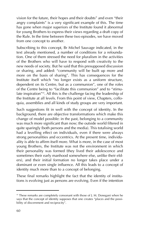vision for the future, their hopes and their doubts" and even "their angry complaints" is a very significant example of this. The time has gone when major superiors of the Institute found it abnormal for young Brothers to express their views regarding a draft copy of the Rule. In the time between these two episodes, we have moved from one concept to another.

Subscribing to this concept, Br Michel Sauvage indicated, in the text already mentioned, a number of conditions for a refoundation. One of them stressed the need for pluralism in the activities of the Brothers who will have to respond with creativity to the new needs of society. But he said that this presupposed discussion or sharing, and added: "community will be built up more and more on the basis of sharing". This has consequences for the Institute itself which "no longer exists as a uniform structure, dependent on its Centre, but as a communion", one of the roles of the Centre being to "facilitate this communion" and to "stimulate inspiration<sup> $45$ </sup>. All this is the challenge facing the leadership of the Institute at all levels. From this point of view, Chapters, colloquia, assemblies and all kinds of study groups are very important.

Such suggestions fit in well with the concept of identity. In the background, there are objective transformations which make this change of model possible: in the past, belonging to a community was much more significant than now; the outside world filtered in quite sparingly (both persons and the media). This totalising world had a levelling effect on individuals, even if there were always strong personalities and eccentrics. At the present time, individuality is able to affirm itself more. What is more, in the case of most young Brothers, the Institute was not the environment in which their personality was formed (they lived their adolescence and sometimes their early manhood somewhere else, unlike their elders), and their initial formation no longer takes place under a dominant or even single influence. All this leads to a concept of identity much more than to a concept of belonging.

These final remarks highlight the fact that the identity of institutions is evolving just as persons are evolving. Even if the intention

<sup>&</sup>lt;sup>45</sup> These remarks are completely consonant with those of J. M. Donegani when he says that the concept of identity supposes that one creates "places and the possibility of discernment and reciprocity".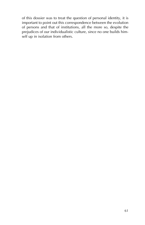of this dossier was to treat the question of personal identity, it is important to point out this correspondence between the evolution of persons and that of institutions, all the more so, despite the prejudices of our individualistic culture, since no one builds himself up in isolation from others.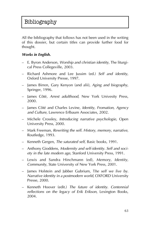All the bibliography that follows has not been used in the writing of this dossier, but certain titles can provide further food for thought.

#### *Works in English.*

- $-$  E. Byron Anderson, *Worship and christian identity*, The liturgical Press Collegeville, 2003.
- ñ Richard Ashmore and Lee Jussim (ed.) *Self and identity*, Oxford University Presse, 1997.
- ñ James Birren, Gary Kenyon (and alii), *Aging and biography*, Springer, 1996.
- James Côté, Arrest adulthood, New York Univesity Press, 2000.
- ñ James CÙtÈ and Charles Levine, *Identity, Fromation, Agency and Culture*, Lawrence Erlbaum Associates, 2002.
- ñ Michele Crossley, *Introducing narrative psychologie*, Open University Press, 2000.
- $-$  Mark Freeman, *Rewriting the self. History, memory, narrative*, Routledge, 1993.
- ñ Kenneth Gergen, *The saturated self*, Basic books, 1991.
- $-$  Anthony Gioddens, *Modernity and self-identity. Self and society in the late modern age*, Stanford University Press, 1991.
- ñ Lewis and Sandra Hinchmann (ed), *Memory, Identity, Community*, State University of New York Press, 2001.
- $-$  James Holstein and Jabber Gubrium, The self we live by. *Narrative identity in a postmodern world*, OXFORD University Presse, 2000.
- ñ Kenneth Hoover (edit.) *The future of identity. Centennial reflections on the legacy of Erik Erikson*, Lexington Books, 2004.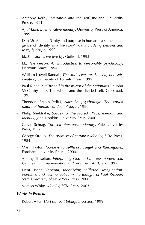- $-$  Anthony Kerby, *Narrative and the self*, Indiana University Presse, 1991.
- $-$  Ajit Maan, *Internarrative identity*, University Press of America. 1999.
- $\overline{a}$  Dan Mc Adams, "Unity and purpose in human lives: the emergence of identity as a life story", dans *Studying persons and lives*, Springer, 1990.
- $-$  Id., The stories we live by, Guilford, 1993.
- $-$  Id., *The person. An introduction to personality psychology*, Harcourt Brace, 1994.
- William Lowell Randall, *The stories we are. An essay onb selfcreation*, University of Toronto Press, 1995.
- $P$  Paul Ricoeur, *"The self in the mirror of the Scriptures"* in John McCarthy (ed.), The whole and the divided self, Crossroad, 1997.
- ñ Theodore Sarbin (edit.), *Narrative psychologie. The storied nature of human conduct*, Praeger, 1986.
- ñ Philip Sheldrake, *Spaces for the sacred. Place, memory and identity*, John Hopkins University Press, 2000.
- ñ Calvin Schrag, *The self after postmodernity*, Yale University Press, 1997.
- ñ George Stroup, *The promise of narrative identity*, SCM Press, 1984.
- $-$  Mark Taylor, *Journeys to selfhood. Hegel and Kierkegaard*, Fordham University Presse, 2000.
- $-$  Anthny Thiselton, *Interpreting God and the postmodern self. On meaning, manipulation and promise*, T&T Clark, 1995.
- ñ Henri Isaac Venema, *Identifying Selfhood. Imagination, Narrative and Hermeneutics in the thought of Paul Ricoeur*, State University of New York Press, 2000.
- Vernon White, *Identity*, SCM Press, 2003.

#### *Works in French.*

Robert Alter, *L'art du récit biblique*, Lessius, 1999.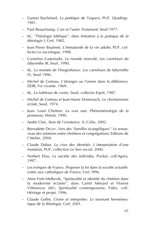- ñ Gaston Bachelard, *La poÈtique de líespace*, PUF, Quadrige, 1981.
- ñ Paul Beauchamp, *Líun et líautre Testament*, Seuil 1977.
- ñ Id., ìThÈologie bibliqueî, dans *Initiation ‡ la pratique de la thÈologie I*, Cerf, 1982.
- ñ Jean Pierre Boutinet, *LíimmaturitÈ de la vie adulte*, PUF, collectio Le sociologue, 1998.
- ñ Cornelius Castoriadis, *Le monde morcelÈ, Les carrefours du labyrinthe III*, Seuil, 1990.
- ñ Id., *La montÈe de líInsignifiance. Les carrefours du labyrinthe IV*, Seuil 1996.
- ñ Michel de Certeau, *LíÈtranger ou líunion dans la diffÈrence*, DDB, Foi vivante, 1969.
- ñ Id., *La faiblesse de croire*, Seuil, collectio Esprit, 1987.
- ñ Michel de Certeau et Jean-Marie Domenach, *Le christianisme ÈclatÈ*, Seuil, 1974.
- ñ Jean- Louis ChrÈtien, *La voix nue. PhÈnomÈnologie de la promesse*, Minuit, 1990.
- ñ AndrÈ Clair, *Sens de l¥existence*, A.-Colin, 2002.
- ñ Bernadette DELIZY, *Vers des ìfamilles ÈvangÈliquesî. Le renou*veau des relations entre chrétiens et congrégations, Editions de l'Atelier, 2004.
- ñ Claude Dubar, *La crise des identitÈs. L¥interprÈation d¥une mutation*, PUF, collection Le lien social, 2000.
- ñ Norbert Elias, *La sociÈte des individus*, Pocket, coll.Agora, 1997.
- ñ Les ÈvÍques de France, *Proposer la foi dans la sociÈtÈ actuelle. Lettre aux catholiques de France*, Cerf, l996.
- Anne Forti-Melkevik, "Spiritualité et identité du chrétien dans la modernité éclatée", dans Camil Ménard et Florent Villeneuve (dir), Spiritualité contemporaine, Fides, coll. Héritage et projet, 1996.
- Claude Geffré, Croire et interpréter. Le tournant herméneu*tique de la thÈologie*, Cerf, 2001.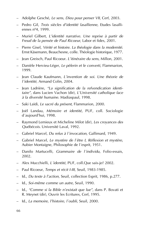- ñ Adolphe GeschÈ, *Le sens, Dieu pour penser VII*, Cerf, 2003.
- ñ Pedro Gil, *Trois siËcles díidentitÈ lasallienne*, Etudes lasalliennes nº4, 1999.
- ñ Muriel Gilbert, *LíidentitÈ narrative. Une reprise ‡ partir de Freud de la pensÈe de Paul Ricoeur*, Labor et fides, 2001.
- ñ Pierre Gisel, *VÈritÈ et histoire. La thÈologie dans la modernitÈ*. Ernst Käsemann, Beauchesne, colle. Théologie historique, 1977.
- ñ Jean Greisch, Paul Ricoeur. *LíitinÈraire du sens*, Millon, 2001.
- ñ DaniËle Hervieu-LÈger, *Le pËlerin et le converti*, Flammarion, 1999.
- ñ Jean Claude Kaufmann, *Líinvention de soi. Une thÈorie de l¥identitÈ*, Armand Colin, 2004.
- Jean Ladrière, "La signification de la refvendication identi*taireî*, dans Lucien Vachon (dir), *LíUniversitÈ catholique face ‡ la diversitÈ humaine*. Madiaspaul, 1998.
- $-$  Saki Laïdi, *Le sacré du présent*, Flammarion, 2000.
- ñ JoÎl Landau, *MÈmoire et identitÈ*, PUF, coll. Sociologie d'aujourd'hui, 1998.
- ñ Raymond Lemieux et Micheline Milot (dir), *Les croyances des QuÈbÈcois*. UniversitÈ Laval, 1992.
- ñ Gabriel Marcel, *Du refus ‡ l¥invocation*, Gallimard, 1949.
- ñ Gabriel Marcel, *Le mystËre de l¥Ítre I, RÈflexion et mystËre*, Aubier Montaigne, Philosophie de l'esprit, 1951.
- ñ Danilo Martucelli, *Grammaire de l¥individu*, Folio-essais, 2002.
- ñ Alex Mucchielli, *L¥identitÈ*, PUF, coll.Que sais-je? 2002.
- ñ Paul Ricoeur, *Temps et rÈcit I-III*, Seuil, 1983-1985.
- ñ Id., *Du texte ‡ líaction*, Seuil, collection Esprit, 1986, p.277.
- Id., *Soi-même comme un autre*, Seuil, 1990.
- ñ Id., *ìComme si la Bible níexistait que lueî*, dans P. Bovati et R. Meynet (dir), Ouvrir les Ecritures, Cerf, 1995.
- ñ Id., *La memoire, líhistoire, l¥oubli*, Seuil, 2000.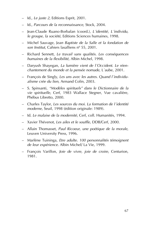- Id., *Le juste 2*, Editions Esprit, 2001.
- ñ Id., *Parcours de la reconnaissance*, Stock, 2004.
- ñ Jean-Claude Ruano-Borbalan (coord.), *L¥identitÈ, L¥individu, le groupe, la société*, Editions Sciences humaines, 1998.
- ñ Michel Sauvage, J*ean Baptiste de la Salle et la fondation de son Institut*, Cahiers lasalliens nº 55, 2001.
- ñ Richard Sennett, *Le travail sans qualitÈs. Les consÈquences humaines de la flexibilitÈ*, Albin Michel, 1998.
- ñ Daryush Shayegan, *La lumiËre vient de l¥Occident. Le rÈenchantement du monde et la pensée nomade*, L'aube, 2001.
- <sup>-</sup> François de Singly, Les uns avec les autres. Quand l'individu*alisme crÈe du lien*, Armand Colin, 2003.
- ñ S. Spinsanti, *ìModËles spirituelsî dans le Dictionnaire de la* vie spirituelle, Cerf, 1983 Wallace Stegner, Vue cavalière, Phébus Libretto, 2000.
- ñ Charles Taylor, *Les sources du moi. La formation de l¥identitÈ moderne*, Seuil, 1998 (Èdition originale: 1989).
- ñ Id. *Le malaise de la modernitÈ*, Cerf, coll. HumanitÈs, 1994.
- ñ Xavier ThÈvenot, *Les ailes et le souffle*, DDB/Cerf, 2000.
- ñ Allain Thomasset, *Paul Ricoeur, une poÈtique de la morale*, Leuven University Press, 1996.
- ñ MarlËne Tuininga, *Etre adulte. 100 personnalitÈs tÈmoignent de leur expÈrience*. Albin Michel/ La Vie, 1999.
- $-$  François Varillon, *Joie de vivre, joie de croire*, Centurion, 1981.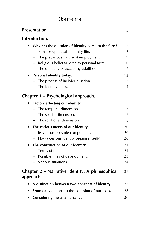# Contents

| <b>Presentation.</b>                                         | 5  |
|--------------------------------------------------------------|----|
| Introduction.                                                | 7  |
| Why has the question of identity come to the fore ?          | 7  |
| A major upheaval in family life.                             | 8  |
| The precarious nature of employment.                         | 9  |
| Religious belief tailored to personal taste.                 | 10 |
| The difficulty of accepting adulthood.                       | 12 |
| Personal identity today.                                     | 13 |
| The process of individualisation.                            | 13 |
| - The identity crisis.                                       | 14 |
| Chapter 1 – Psychological approach.                          | 17 |
| Factors affecting our identity.                              | 17 |
| The temporal dimension.                                      | 17 |
| The spatial dimension.                                       | 18 |
| The relational dimension.                                    | 18 |
| The various facets of our identity.<br>٠                     | 20 |
| Its various possible components.                             | 20 |
| How does our identity organise itself?                       | 20 |
| The construction of our identity.<br>٠                       | 21 |
| Terms of reference.                                          | 21 |
| - Possible lines of development.                             | 23 |
| Various situations.                                          | 24 |
| Chapter 2 - Narrative identity: A philosophical<br>approach. | 27 |
| A distinction between two concepts of identity.              | 27 |
| From daily actions to the cohesion of our lives.             | 28 |
| Considering life as a narrative.                             | 30 |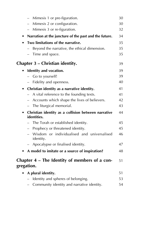| Mimesis 1 or pre-figuration.                                                    | 30 |
|---------------------------------------------------------------------------------|----|
| Mimesis 2 or configuration.                                                     | 30 |
| Mimesis 3 or re-figuration.<br>$-$                                              | 32 |
| Narration at the juncture of the past and the future.<br>٠                      | 34 |
| Two limitations of the narrative.                                               | 35 |
| Beyond the narrative, the ethical dimension.                                    | 35 |
| Time and space.                                                                 | 35 |
| Chapter 3 – Christian identity.                                                 | 39 |
| Identity and vocation.                                                          | 39 |
| Go to yourself!                                                                 | 39 |
| Fidelity and openness.                                                          | 40 |
| Christian identity as a narrative identity.<br>$\bullet$                        | 41 |
| A vital reference to the founding texts.                                        | 41 |
| Accounts which shape the lives of believers.                                    | 42 |
| The liturgical memorial.                                                        | 43 |
| Christian identity as a collision between narrative<br>$\bullet$<br>identities. | 44 |
| The Torah or established identity.                                              | 45 |
| Prophecy or threatened identity.                                                | 45 |
| Wisdom or individualised and universalised<br>identity.                         | 46 |
| Apocalypse or finalised identity.                                               | 47 |
| A model to imitate or a source of inspiration?                                  | 48 |
| Chapter 4 – The Identity of members of a con-<br>gregation.                     | 51 |
| A plural identity.                                                              | 51 |
| Identity and spheres of belonging.                                              | 53 |
| Community identity and narrative identity.                                      | 54 |